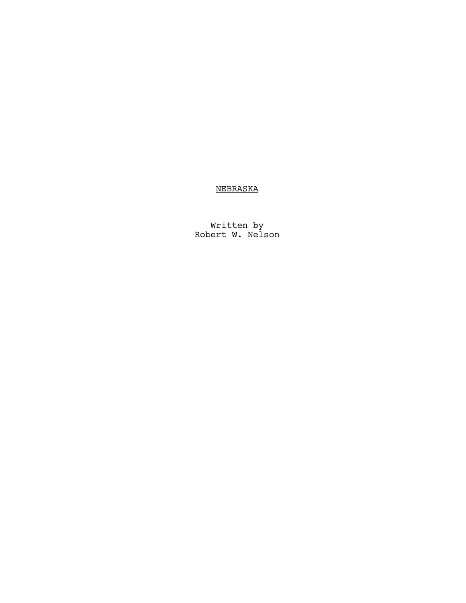# NEBRASKA

Written by Robert W. Nelson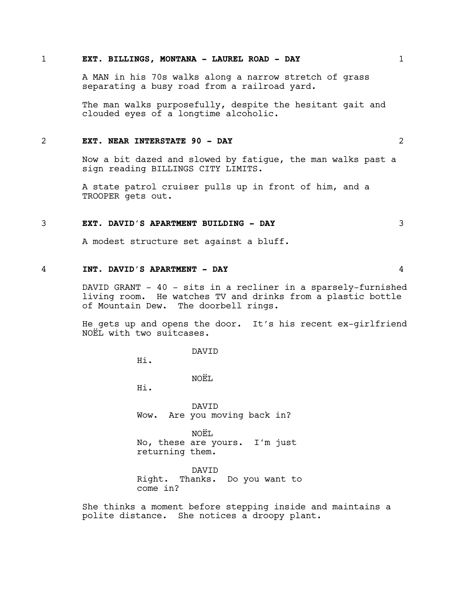## 1 **EXT. BILLINGS, MONTANA - LAUREL ROAD - DAY** 1

A MAN in his 70s walks along a narrow stretch of grass separating a busy road from a railroad yard.

The man walks purposefully, despite the hesitant gait and clouded eyes of a longtime alcoholic.

#### 2 **EXT. NEAR INTERSTATE 90 - DAY** 2

Now a bit dazed and slowed by fatigue, the man walks past a sign reading BILLINGS CITY LIMITS.

A state patrol cruiser pulls up in front of him, and a TROOPER gets out.

#### 3 **EXT. DAVID'S APARTMENT BUILDING - DAY** 3

A modest structure set against a bluff.

## 4 **INT. DAVID'S APARTMENT - DAY** 4

DAVID GRANT - 40 - sits in a recliner in a sparsely-furnished living room. He watches TV and drinks from a plastic bottle of Mountain Dew. The doorbell rings.

He gets up and opens the door. It's his recent ex-girlfriend NOËL with two suitcases.

DAVID

Hi.

NOËL.

Hi.

DAVID Wow. Are you moving back in?

NOËL No, these are yours. I'm just returning them.

DAVID Right. Thanks. Do you want to come in?

She thinks a moment before stepping inside and maintains a polite distance. She notices a droopy plant.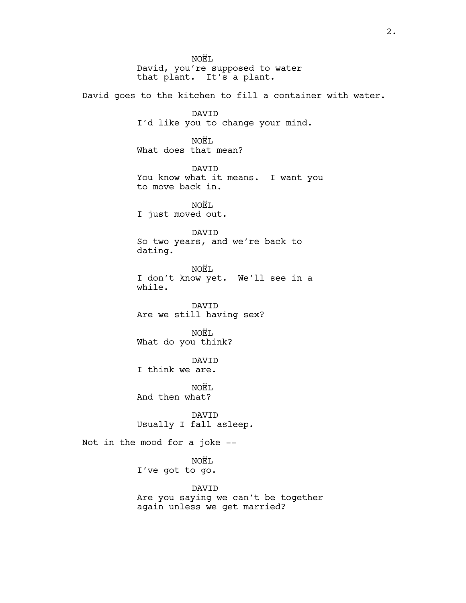NOËL David, you're supposed to water that plant. It's a plant. David goes to the kitchen to fill a container with water. DAVID I'd like you to change your mind. NOËL What does that mean? DAVID You know what it means. I want you to move back in. NOËL I just moved out. DAVID So two years, and we're back to dating. NOËL I don't know yet. We'll see in a while. DAVID Are we still having sex? NOËL What do you think? DAVID I think we are. NOËL. And then what? DAVID Usually I fall asleep. Not in the mood for a joke -- NOËL I've got to go. DAVID Are you saying we can't be together again unless we get married?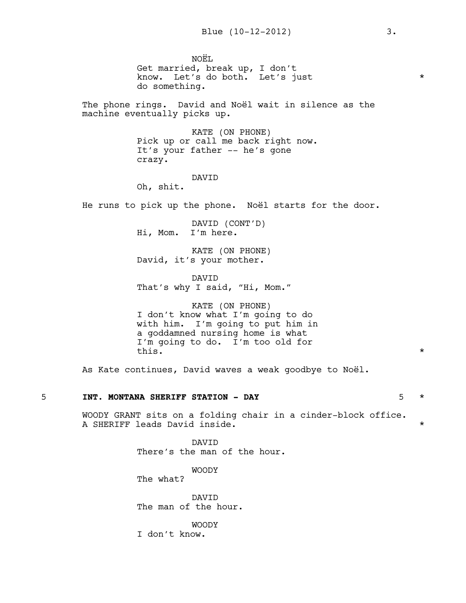NOËL. Get married, break up, I don't know. Let's do both. Let's just \* do something.

The phone rings. David and Noël wait in silence as the machine eventually picks up.

> KATE (ON PHONE) Pick up or call me back right now. It's your father -- he's gone crazy.

## DAVID

Oh, shit.

He runs to pick up the phone. Noël starts for the door.

DAVID (CONT'D) Hi, Mom. I'm here.

KATE (ON PHONE) David, it's your mother.

DAVID That's why I said, "Hi, Mom."

KATE (ON PHONE) I don't know what I'm going to do with him. I'm going to put him in a goddamned nursing home is what I'm going to do. I'm too old for this.  $\star$ 

As Kate continues, David waves a weak goodbye to Noël.

#### 5 **INT. MONTANA SHERIFF STATION - DAY** 5 \*

WOODY GRANT sits on a folding chair in a cinder-block office. A SHERIFF leads David inside. \*

> DAVID There's the man of the hour.

> > WOODY

The what?

DAVID The man of the hour.

WOODY

I don't know.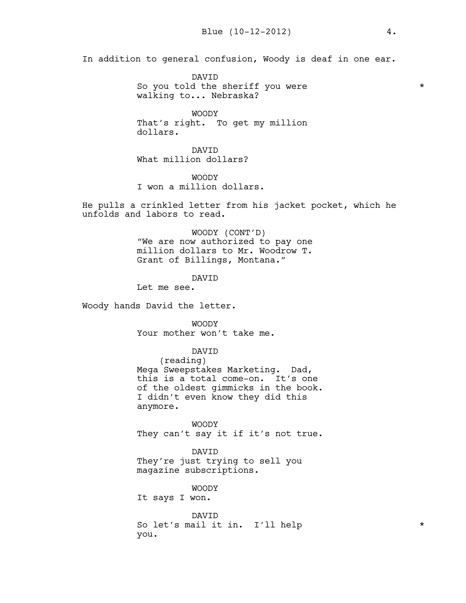In addition to general confusion, Woody is deaf in one ear.

DAVID So you told the sheriff you were  $*$ walking to... Nebraska?

WOODY That's right. To get my million dollars.

DAVID What million dollars?

WOODY I won a million dollars.

He pulls a crinkled letter from his jacket pocket, which he unfolds and labors to read.

> WOODY (CONT'D) "We are now authorized to pay one million dollars to Mr. Woodrow T. Grant of Billings, Montana."

> > DAVID

Let me see.

Woody hands David the letter.

WOODY Your mother won't take me.

DAVID

(reading) Mega Sweepstakes Marketing. Dad, this is a total come-on. It's one of the oldest gimmicks in the book. I didn't even know they did this anymore.

WOODY They can't say it if it's not true.

DAVID They're just trying to sell you magazine subscriptions.

WOODY It says I won.

DAVID So let's mail it in. I'll help  $\star$ you.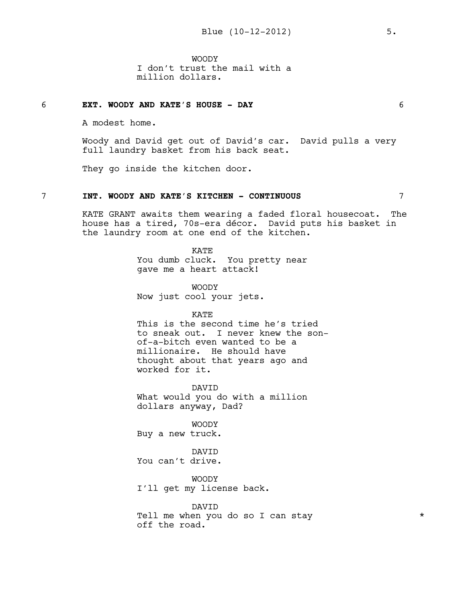WOODY I don't trust the mail with a million dollars.

## 6 **EXT. WOODY AND KATE'S HOUSE - DAY** 6

A modest home.

Woody and David get out of David's car. David pulls a very full laundry basket from his back seat.

They go inside the kitchen door.

#### 7 **INT. WOODY AND KATE'S KITCHEN - CONTINUOUS** 7

KATE GRANT awaits them wearing a faded floral housecoat. The house has a tired, 70s-era décor. David puts his basket in the laundry room at one end of the kitchen.

> KATE You dumb cluck. You pretty near gave me a heart attack!

WOODY Now just cool your jets.

KATE

This is the second time he's tried to sneak out. I never knew the sonof-a-bitch even wanted to be a millionaire. He should have thought about that years ago and worked for it.

DAVID What would you do with a million dollars anyway, Dad?

WOODY Buy a new truck.

DAVID You can't drive.

WOODY I'll get my license back.

DAVID Tell me when you do so I can stay \*\*\* off the road.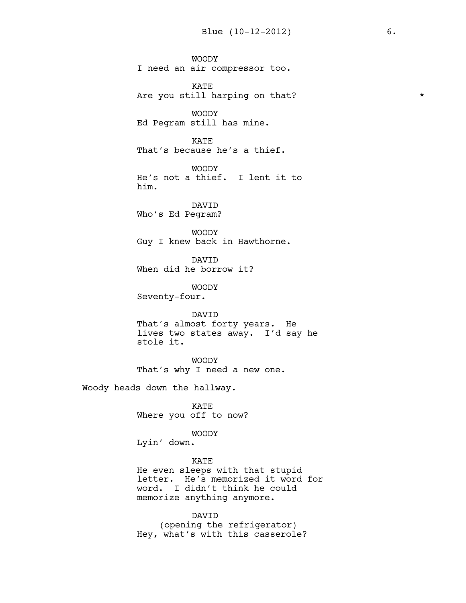WOODY I need an air compressor too. KATE Are you still harping on that? \* \* WOODY Ed Pegram still has mine. KATE That's because he's a thief. WOODY He's not a thief. I lent it to him. DAVID Who's Ed Pegram? WOODY Guy I knew back in Hawthorne. DAVID When did he borrow it? WOODY Seventy-four. DAVID That's almost forty years. He lives two states away. I'd say he stole it. WOODY That's why I need a new one. Woody heads down the hallway. KATE Where you off to now? WOODY Lyin' down. KATE He even sleeps with that stupid letter. He's memorized it word for word. I didn't think he could memorize anything anymore. DAVID

(opening the refrigerator) Hey, what's with this casserole?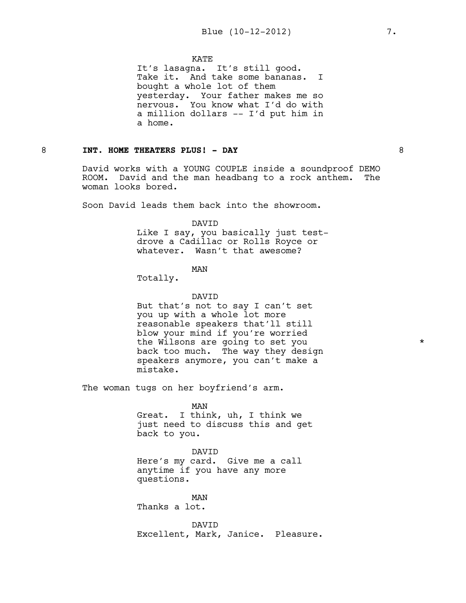#### **KATE**

It's lasagna. It's still good. Take it. And take some bananas. I bought a whole lot of them yesterday. Your father makes me so nervous. You know what I'd do with a million dollars -- I'd put him in a home.

## 8 **INT. HOME THEATERS PLUS! - DAY** 8

David works with a YOUNG COUPLE inside a soundproof DEMO ROOM. David and the man headbang to a rock anthem. The woman looks bored.

Soon David leads them back into the showroom.

#### DAVID

Like I say, you basically just testdrove a Cadillac or Rolls Royce or whatever. Wasn't that awesome?

#### MAN

Totally.

#### DAVID

But that's not to say I can't set you up with a whole lot more reasonable speakers that'll still blow your mind if you're worried the Wilsons are going to set you  $*$ back too much. The way they design speakers anymore, you can't make a mistake.

The woman tugs on her boyfriend's arm.

MAN

Great. I think, uh, I think we just need to discuss this and get back to you.

#### DAVID

Here's my card. Give me a call anytime if you have any more questions.

MAN Thanks a lot.

DAVID Excellent, Mark, Janice. Pleasure.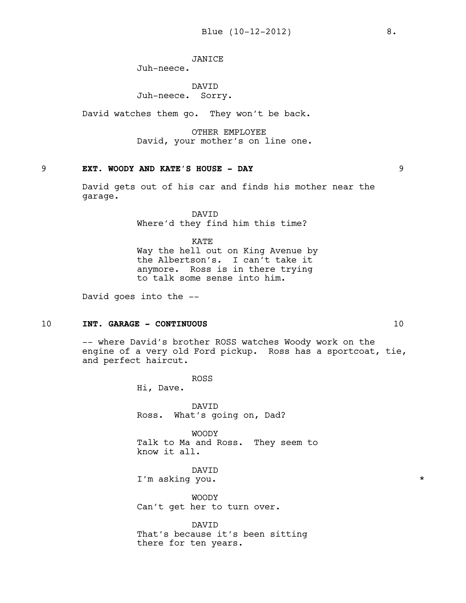## JANICE

Juh-neece.

DAVID Juh-neece. Sorry.

David watches them go. They won't be back.

OTHER EMPLOYEE David, your mother's on line one.

# 9 **EXT. WOODY AND KATE'S HOUSE - DAY** 9

David gets out of his car and finds his mother near the garage.

> DAVID Where'd they find him this time?

KATE Way the hell out on King Avenue by the Albertson's. I can't take it anymore. Ross is in there trying to talk some sense into him.

David goes into the --

## 10 **INT. GARAGE - CONTINUOUS** 10

-- where David's brother ROSS watches Woody work on the engine of a very old Ford pickup. Ross has a sportcoat, tie, and perfect haircut.

> ROSS Hi, Dave.

DAVID Ross. What's going on, Dad?

WOODY Talk to Ma and Ross. They seem to know it all.

DAVID I'm asking you.  $\star$ 

WOODY Can't get her to turn over.

DAVID That's because it's been sitting there for ten years.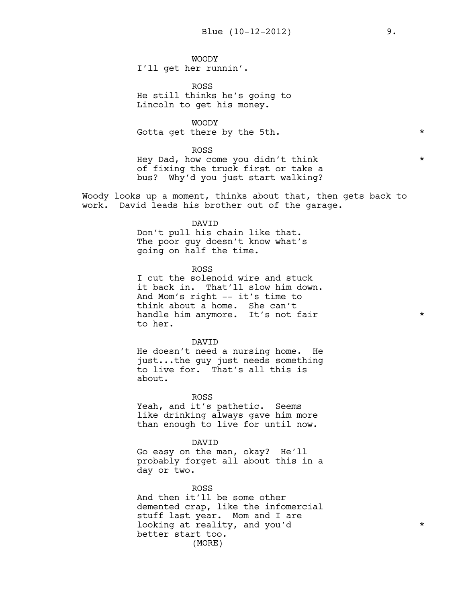WOODY I'll get her runnin'.

ROSS He still thinks he's going to Lincoln to get his money.

WOODY

Gotta get there by the 5th.  $\star$ 

ROSS

Hey Dad, how come you didn't think \* of fixing the truck first or take a bus? Why'd you just start walking?

Woody looks up a moment, thinks about that, then gets back to work. David leads his brother out of the garage.

#### DAVID

Don't pull his chain like that. The poor guy doesn't know what's going on half the time.

ROSS

I cut the solenoid wire and stuck it back in. That'll slow him down. And Mom's right -- it's time to think about a home. She can't handle him anymore. It's not fair  $*$ to her.

#### DAVID

He doesn't need a nursing home. He just...the guy just needs something to live for. That's all this is about.

ROSS

Yeah, and it's pathetic. Seems like drinking always gave him more than enough to live for until now.

DAVID

Go easy on the man, okay? He'll probably forget all about this in a day or two.

ROSS

And then it'll be some other demented crap, like the infomercial stuff last year. Mom and I are looking at reality, and you'd  $*$ better start too. (MORE)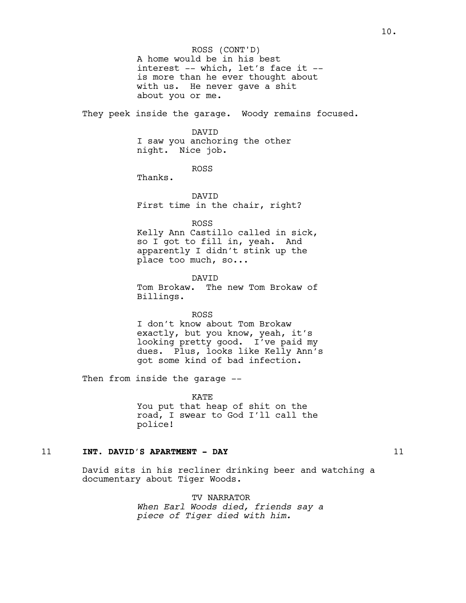A home would be in his best interest -- which, let's face it - is more than he ever thought about with us. He never gave a shit about you or me. ROSS (CONT'D)

They peek inside the garage. Woody remains focused.

#### DAVID

I saw you anchoring the other night. Nice job.

ROSS

Thanks.

DAVID First time in the chair, right?

ROSS

Kelly Ann Castillo called in sick, so I got to fill in, yeah. And apparently I didn't stink up the place too much, so...

DAVID Tom Brokaw. The new Tom Brokaw of Billings.

ROSS I don't know about Tom Brokaw exactly, but you know, yeah, it's looking pretty good. I've paid my dues. Plus, looks like Kelly Ann's got some kind of bad infection.

Then from inside the garage --

KATE You put that heap of shit on the road, I swear to God I'll call the police!

## 11 **INT. DAVID'S APARTMENT - DAY** 11

David sits in his recliner drinking beer and watching a documentary about Tiger Woods.

> TV NARRATOR *When Earl Woods died, friends say a piece of Tiger died with him.*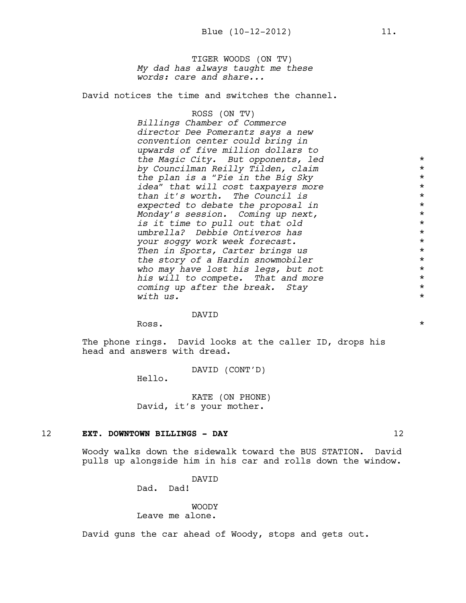TIGER WOODS (ON TV) *My dad has always taught me these words: care and share...*

David notices the time and switches the channel.

## ROSS (ON TV)

*Billings Chamber of Commerce director Dee Pomerantz says a new convention center could bring in upwards of five million dollars to the Magic City. But opponents, led* \* *by Councilman Reilly Tilden, claim* \* *the plan is a "Pie in the Big Sky* \* *idea" that will cost taxpayers more* \* *than it's worth. The Council is* \* *expected to debate the proposal in* \* *Monday's session. Coming up next,* \* *is it time to pull out that old* \* *umbrella? Debbie Ontiveros has* \* *your soggy work week forecast.* \* *Then in Sports, Carter brings us* \* *the story of a Hardin snowmobiler* \* *who may have lost his legs, but not* \* *his will to compete. That and more* \* *coming up after the break. Stay* \* *with us.* \*

#### DAVID

Ross.

The phone rings. David looks at the caller ID, drops his head and answers with dread.

DAVID (CONT'D)

Hello.

KATE (ON PHONE) David, it's your mother.

#### 12 **EXT. DOWNTOWN BILLINGS - DAY** 12

Woody walks down the sidewalk toward the BUS STATION. David pulls up alongside him in his car and rolls down the window.

> DAVID Dad. Dad!

# WOODY

Leave me alone.

David guns the car ahead of Woody, stops and gets out.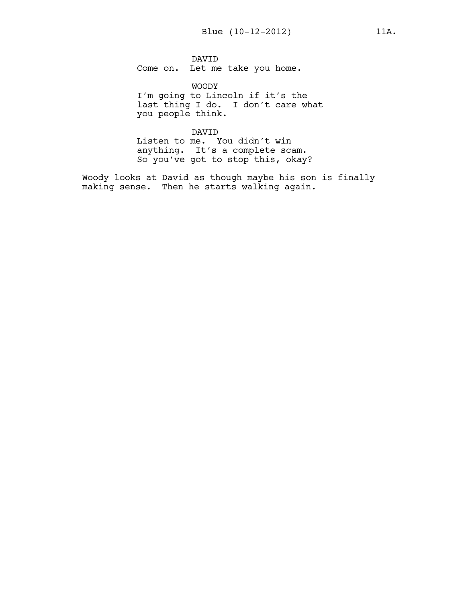DAVID Come on. Let me take you home.

WOODY I'm going to Lincoln if it's the last thing I do. I don't care what you people think.

DAVID

Listen to me. You didn't win anything. It's a complete scam. So you've got to stop this, okay?

Woody looks at David as though maybe his son is finally making sense. Then he starts walking again.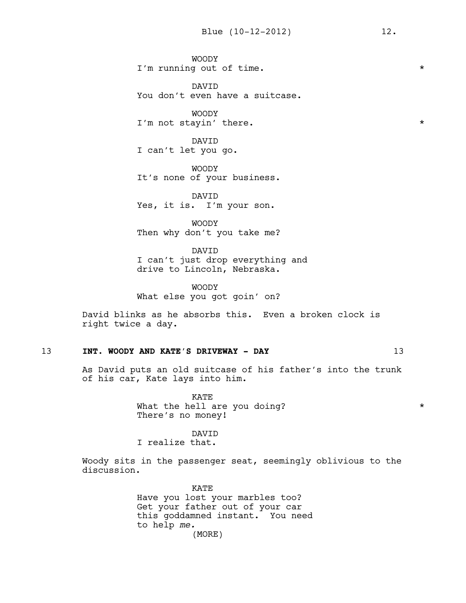WOODY I'm running out of time. \*

DAVID You don't even have a suitcase.

WOODY I'm not stayin' there.  $\star$ 

DAVID I can't let you go.

WOODY It's none of your business.

DAVID Yes, it is. I'm your son.

WOODY Then why don't you take me?

DAVID I can't just drop everything and drive to Lincoln, Nebraska.

WOODY What else you got goin' on?

David blinks as he absorbs this. Even a broken clock is right twice a day.

## 13 **INT. WOODY AND KATE'S DRIVEWAY - DAY** 13

As David puts an old suitcase of his father's into the trunk of his car, Kate lays into him.

> KATE What the hell are you doing? \* There's no money!

> > DAVID

I realize that.

Woody sits in the passenger seat, seemingly oblivious to the discussion.

> KATE Have you lost your marbles too? Get your father out of your car this goddamned instant. You need to help *me.* (MORE)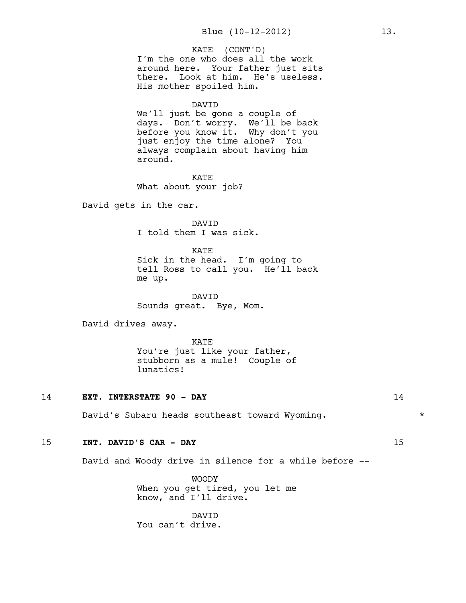I'm the one who does all the work around here. Your father just sits there. Look at him. He's useless. His mother spoiled him. KATE (CONT'D)

#### DAVID

We'll just be gone a couple of days. Don't worry. We'll be back before you know it. Why don't you just enjoy the time alone? You always complain about having him around.

KATE What about your job?

David gets in the car.

DAVID I told them I was sick.

KATE

Sick in the head. I'm going to tell Ross to call you. He'll back me up.

DAVID Sounds great. Bye, Mom.

David drives away.

KATE You're just like your father, stubborn as a mule! Couple of lunatics!

#### 14 **EXT. INTERSTATE 90 - DAY** 14

David's Subaru heads southeast toward Wyoming. \* \* \*

## 15 **INT. DAVID'S CAR - DAY** 15

David and Woody drive in silence for a while before --

WOODY When you get tired, you let me know, and I'll drive.

DAVID You can't drive.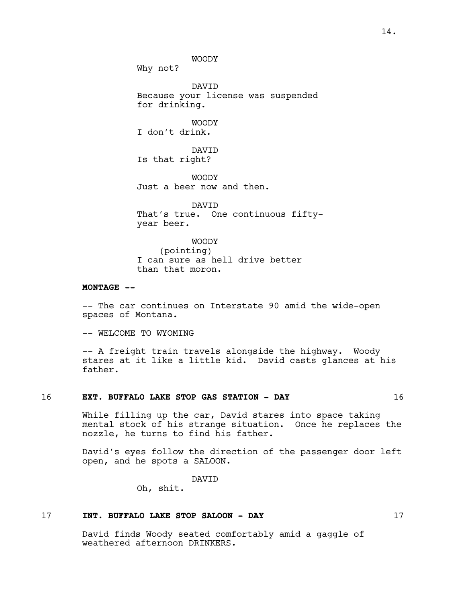WOODY

Why not?

DAVID Because your license was suspended for drinking.

WOODY I don't drink.

DAVID Is that right?

WOODY Just a beer now and then.

DAVID That's true. One continuous fiftyyear beer.

WOODY (pointing) I can sure as hell drive better than that moron.

#### **MONTAGE --**

-- The car continues on Interstate 90 amid the wide-open spaces of Montana.

-- WELCOME TO WYOMING

-- A freight train travels alongside the highway. Woody stares at it like a little kid. David casts glances at his father.

#### 16 **EXT. BUFFALO LAKE STOP GAS STATION - DAY** 16

While filling up the car, David stares into space taking mental stock of his strange situation. Once he replaces the nozzle, he turns to find his father.

David's eyes follow the direction of the passenger door left open, and he spots a SALOON.

DAVID

Oh, shit.

## 17 **INT. BUFFALO LAKE STOP SALOON - DAY** 17

David finds Woody seated comfortably amid a gaggle of weathered afternoon DRINKERS.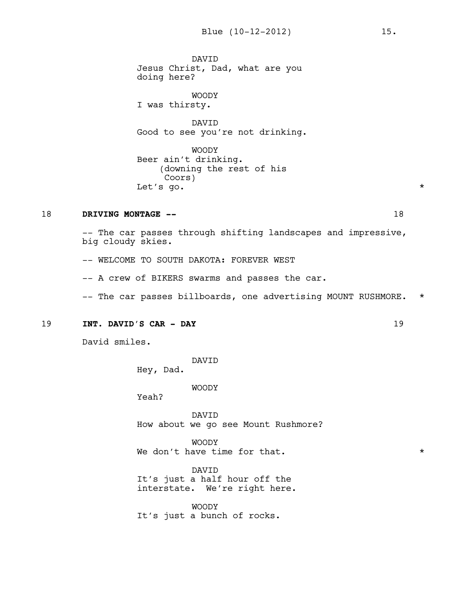DAVID Jesus Christ, Dad, what are you doing here?

WOODY I was thirsty.

DAVID Good to see you're not drinking.

WOODY Beer ain't drinking. (downing the rest of his Coors) Let's go.  $\star$ 

## 18 **DRIVING MONTAGE --** 18

-- The car passes through shifting landscapes and impressive, big cloudy skies.

-- WELCOME TO SOUTH DAKOTA: FOREVER WEST

-- A crew of BIKERS swarms and passes the car.

-- The car passes billboards, one advertising MOUNT RUSHMORE. \*

#### 19 **INT. DAVID'S CAR - DAY** 19

David smiles.

DAVID

Hey, Dad.

WOODY

Yeah?

DAVID How about we go see Mount Rushmore?

WOODY We don't have time for that.  $\star$ 

DAVID It's just a half hour off the interstate. We're right here.

WOODY It's just a bunch of rocks.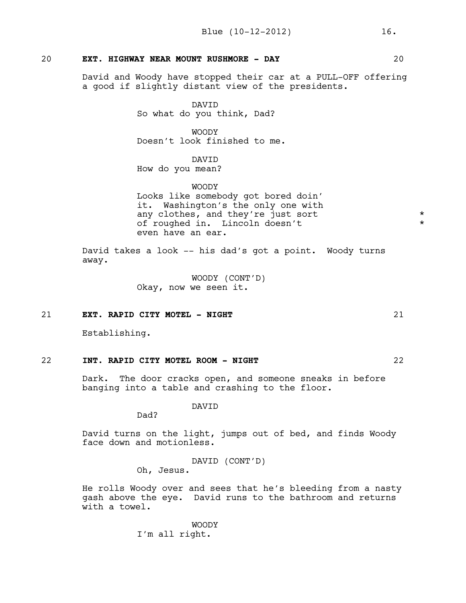## 20 **EXT. HIGHWAY NEAR MOUNT RUSHMORE - DAY** 20

David and Woody have stopped their car at a PULL-OFF offering a good if slightly distant view of the presidents.

> DAVID So what do you think, Dad?

**WOODY** Doesn't look finished to me.

# DAVID

How do you mean?

WOODY

Looks like somebody got bored doin' it. Washington's the only one with any clothes, and they're just sort \* of roughed in. Lincoln doesn't \* even have an ear.

David takes a look -- his dad's got a point. Woody turns away.

> WOODY (CONT'D) Okay, now we seen it.

## 21 **EXT. RAPID CITY MOTEL - NIGHT** 21

Establishing.

## 22 **INT. RAPID CITY MOTEL ROOM - NIGHT** 22

Dark. The door cracks open, and someone sneaks in before banging into a table and crashing to the floor.

DAVID

Dad?

David turns on the light, jumps out of bed, and finds Woody face down and motionless.

> DAVID (CONT'D) Oh, Jesus.

He rolls Woody over and sees that he's bleeding from a nasty gash above the eye. David runs to the bathroom and returns with a towel.

> WOODY I'm all right.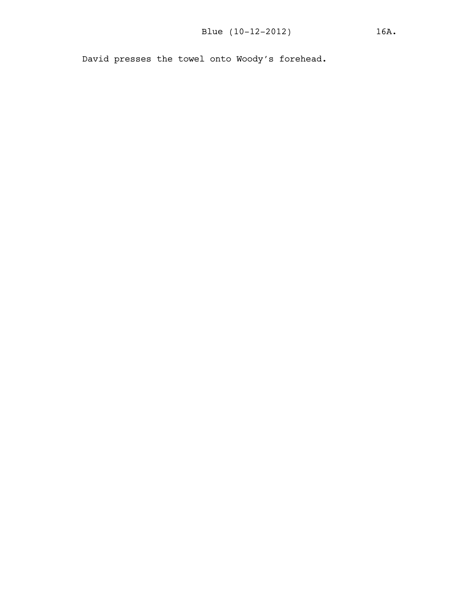David presses the towel onto Woody's forehead.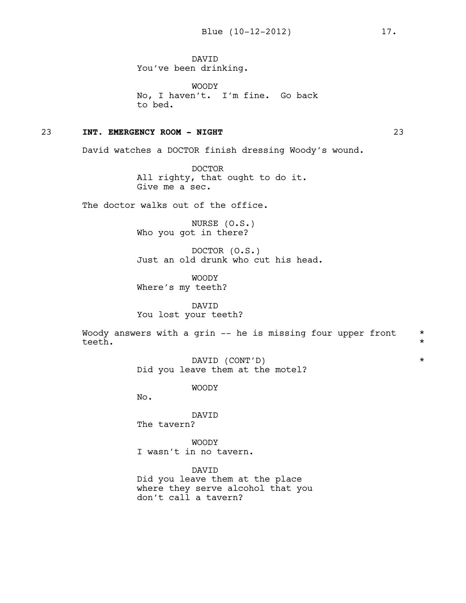DAVID You've been drinking.

WOODY No, I haven't. I'm fine. Go back to bed.

## 23 **INT. EMERGENCY ROOM - NIGHT** 23

David watches a DOCTOR finish dressing Woody's wound.

DOCTOR All righty, that ought to do it. Give me a sec.

The doctor walks out of the office.

NURSE (O.S.) Who you got in there?

DOCTOR (O.S.) Just an old drunk who cut his head.

WOODY Where's my teeth?

DAVID You lost your teeth?

Woody answers with a grin  $-$  he is missing four upper front  $*$ teeth. \*

> DAVID (CONT'D) \* Did you leave them at the motel?

> > WOODY

No.

DAVID The tavern?

WOODY I wasn't in no tavern.

DAVID Did you leave them at the place where they serve alcohol that you don't call a tavern?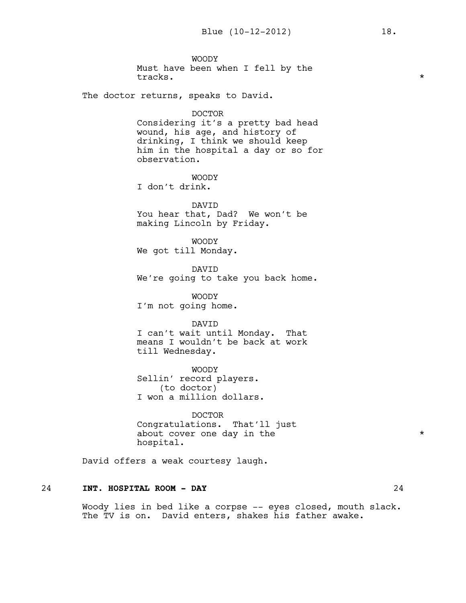WOODY Must have been when I fell by the tracks.  $\star$ 

The doctor returns, speaks to David.

DOCTOR

Considering it's a pretty bad head wound, his age, and history of drinking, I think we should keep him in the hospital a day or so for observation.

WOODY

I don't drink.

DAVID You hear that, Dad? We won't be making Lincoln by Friday.

WOODY We got till Monday.

DAVID We're going to take you back home.

WOODY I'm not going home.

DAVID

I can't wait until Monday. That means I wouldn't be back at work till Wednesday.

WOODY Sellin' record players. (to doctor) I won a million dollars.

DOCTOR Congratulations. That'll just about cover one day in the  $*$ hospital.

David offers a weak courtesy laugh.

## 24 **INT. HOSPITAL ROOM - DAY** 24

Woody lies in bed like a corpse -- eyes closed, mouth slack. The TV is on. David enters, shakes his father awake.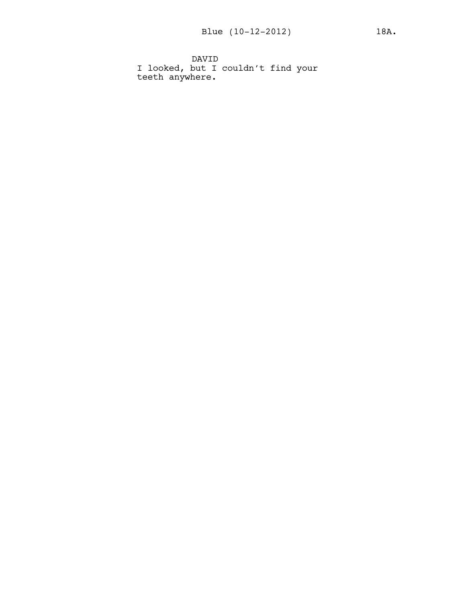DAVID I looked, but I couldn't find your teeth anywhere.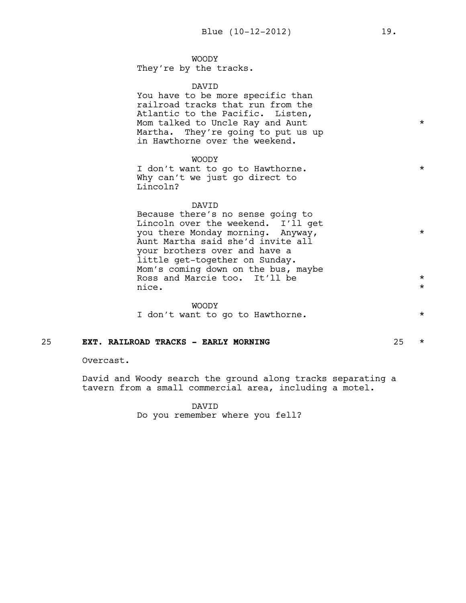## WOODY

They're by the tracks.

#### DAVID

You have to be more specific than railroad tracks that run from the Atlantic to the Pacific. Listen, Mom talked to Uncle Ray and Aunt \* \* \* \* \* \* Martha. They're going to put us up in Hawthorne over the weekend.

## WOODY

I don't want to go to Hawthorne. \* \* \* Why can't we just go direct to Lincoln?

#### DAVID

Because there's no sense going to Lincoln over the weekend. I'll get you there Monday morning. Anyway, Aunt Martha said she'd invite all your brothers over and have a little get-together on Sunday. Mom's coming down on the bus, maybe Ross and Marcie too. It'll be  $*$ nice.  $\star$ 

## WOODY I don't want to go to Hawthorne. \* \* \*

#### 25 **EXT. RAILROAD TRACKS - EARLY MORNING** 25 \*

Overcast.

David and Woody search the ground along tracks separating a tavern from a small commercial area, including a motel.

> DAVID Do you remember where you fell?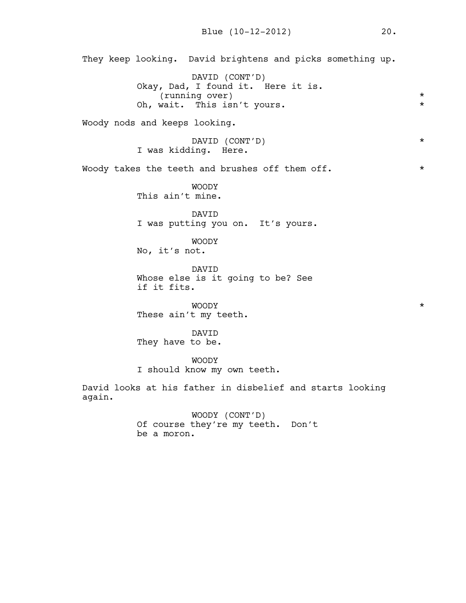They keep looking. David brightens and picks something up. DAVID (CONT'D) Okay, Dad, I found it. Here it is. (running over) \* Oh, wait. This isn't yours. Woody nods and keeps looking. DAVID (CONT'D) \* I was kidding. Here. Woody takes the teeth and brushes off them off.  $*$ WOODY This ain't mine. DAVID I was putting you on. It's yours. WOODY No, it's not. DAVID Whose else is it going to be? See if it fits. WOODY \* These ain't my teeth. DAVID They have to be. WOODY I should know my own teeth. David looks at his father in disbelief and starts looking again. WOODY (CONT'D) Of course they're my teeth. Don't be a moron.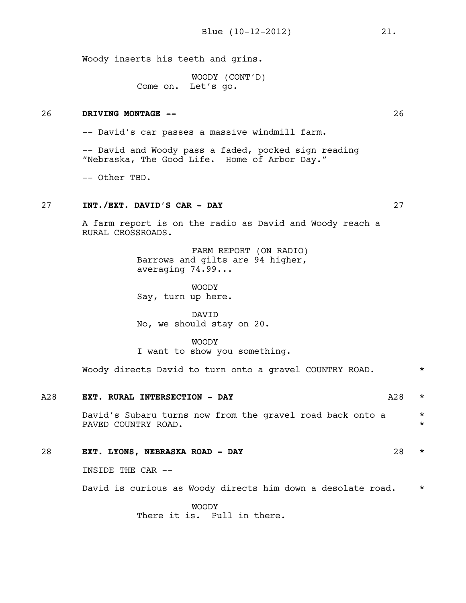Woody inserts his teeth and grins.

WOODY (CONT'D) Come on. Let's go.

## 26 **DRIVING MONTAGE --** 26

-- David's car passes a massive windmill farm.

-- David and Woody pass a faded, pocked sign reading "Nebraska, The Good Life. Home of Arbor Day."

-- Other TBD.

## 27 **INT./EXT. DAVID'S CAR - DAY** 27

A farm report is on the radio as David and Woody reach a RURAL CROSSROADS.

> FARM REPORT (ON RADIO) Barrows and gilts are 94 higher, averaging 74.99...

WOODY Say, turn up here.

DAVID No, we should stay on 20.

WOODY I want to show you something.

Woody directs David to turn onto a gravel COUNTRY ROAD. \*

| A28 | EXT. RURAL INTERSECTION - DAY                                                    | A28 | $\star$            |
|-----|----------------------------------------------------------------------------------|-----|--------------------|
|     | David's Subaru turns now from the gravel road back onto a<br>PAVED COUNTRY ROAD. |     | $\star$<br>$\star$ |
| 28  | EXT. LYONS, NEBRASKA ROAD - DAY                                                  | 28  | $\star$            |
|     | INSIDE THE CAR --                                                                |     |                    |
|     | David is curious as Woody directs him down a desolate road.                      |     | $\star$            |
|     | <b>WOODY</b><br>There it is. Pull in there.                                      |     |                    |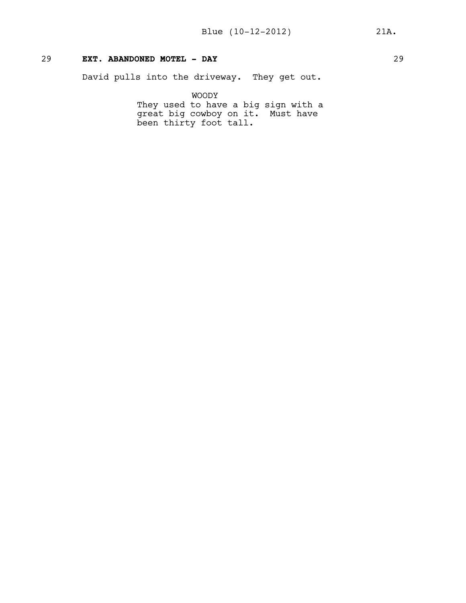## 29 **EXT. ABANDONED MOTEL - DAY** 29

David pulls into the driveway. They get out.

WOODY

They used to have a big sign with a great big cowboy on it. Must have been thirty foot tall.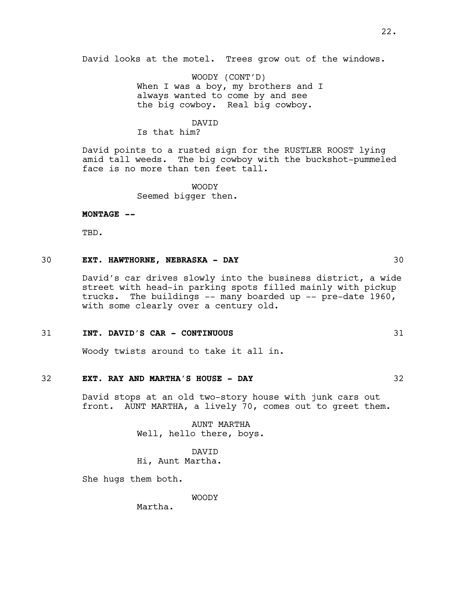David looks at the motel. Trees grow out of the windows.

WOODY (CONT'D) When I was a boy, my brothers and I always wanted to come by and see the big cowboy. Real big cowboy.

#### DAVID

Is that him?

David points to a rusted sign for the RUSTLER ROOST lying amid tall weeds. The big cowboy with the buckshot-pummeled face is no more than ten feet tall.

> WOODY Seemed bigger then.

**MONTAGE --**

TBD.

## 30 **EXT. HAWTHORNE, NEBRASKA - DAY** 30

David's car drives slowly into the business district, a wide street with head-in parking spots filled mainly with pickup trucks. The buildings -- many boarded up -- pre-date 1960, with some clearly over a century old.

## 31 **INT. DAVID'S CAR - CONTINUOUS** 31

Woody twists around to take it all in.

## 32 **EXT. RAY AND MARTHA'S HOUSE - DAY** 32

David stops at an old two-story house with junk cars out front. AUNT MARTHA, a lively 70, comes out to greet them.

> AUNT MARTHA Well, hello there, boys.

DAVID Hi, Aunt Martha.

She hugs them both.

WOODY

Martha.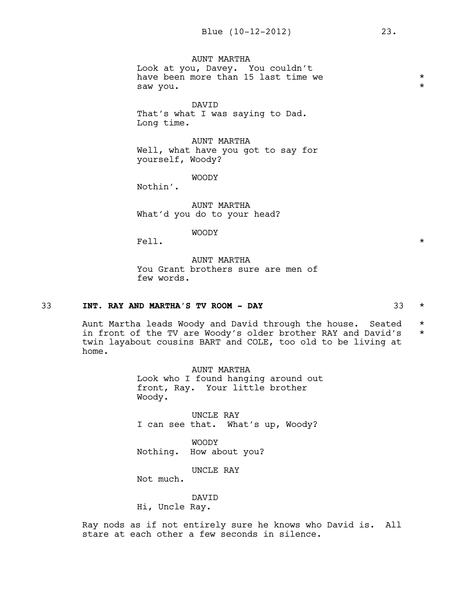AUNT MARTHA Look at you, Davey. You couldn't have been more than 15 last time we  $*$ saw you.  $\star$ 

DAVID That's what I was saying to Dad. Long time.

AUNT MARTHA Well, what have you got to say for yourself, Woody?

WOODY

Nothin'.

AUNT MARTHA What'd you do to your head?

WOODY

Fell.  $\star$ 

AUNT MARTHA You Grant brothers sure are men of few words.

## 33 **INT. RAY AND MARTHA'S TV ROOM - DAY** 33 \*

Aunt Martha leads Woody and David through the house. Seated \* in front of the TV are Woody's older brother RAY and David's \* twin layabout cousins BART and COLE, too old to be living at home.

> AUNT MARTHA Look who I found hanging around out front, Ray. Your little brother Woody.

UNCLE RAY I can see that. What's up, Woody?

WOODY Nothing. How about you?

UNCLE RAY

Not much.

DAVID

Hi, Uncle Ray.

Ray nods as if not entirely sure he knows who David is. All stare at each other a few seconds in silence.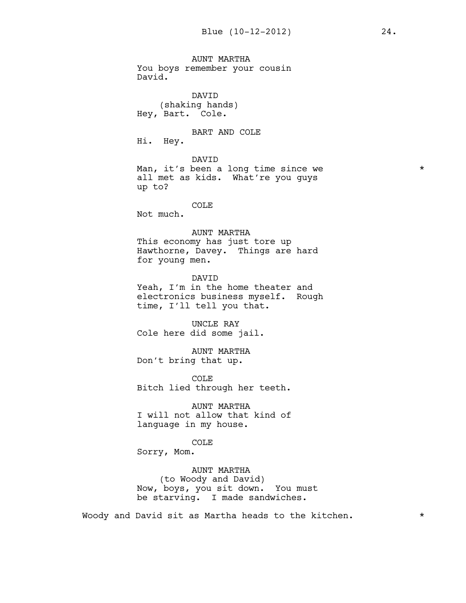AUNT MARTHA You boys remember your cousin David. DAVID (shaking hands) Hey, Bart. Cole. BART AND COLE Hi. Hey. DAVID Man, it's been a long time since we \* all met as kids. What're you guys up to? COLE Not much. AUNT MARTHA This economy has just tore up Hawthorne, Davey. Things are hard for young men. DAVID Yeah, I'm in the home theater and electronics business myself. Rough time, I'll tell you that. UNCLE RAY Cole here did some jail. AUNT MARTHA Don't bring that up. COLE Bitch lied through her teeth. AUNT MARTHA

I will not allow that kind of language in my house.

COLE

Sorry, Mom.

AUNT MARTHA (to Woody and David) Now, boys, you sit down. You must be starving. I made sandwiches.

Woody and David sit as Martha heads to the kitchen.  $*$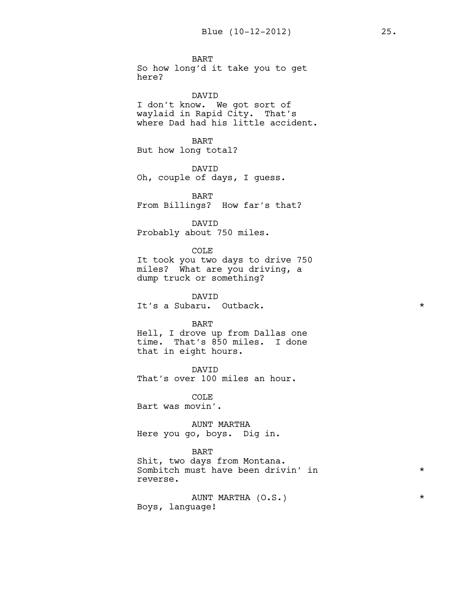BART So how long'd it take you to get here?

DAVID I don't know. We got sort of waylaid in Rapid City. That's where Dad had his little accident.

BART But how long total?

DAVID Oh, couple of days, I guess.

BART From Billings? How far's that?

DAVID Probably about 750 miles.

COLE

It took you two days to drive 750 miles? What are you driving, a dump truck or something?

DAVID It's a Subaru. Outback.  $\star$ 

#### BART

Hell, I drove up from Dallas one time. That's 850 miles. I done that in eight hours.

DAVID That's over 100 miles an hour.

COLE Bart was movin'.

AUNT MARTHA Here you go, boys. Dig in.

#### BART

Shit, two days from Montana. Sombitch must have been drivin' in \* reverse.

AUNT MARTHA (O.S.) \* Boys, language!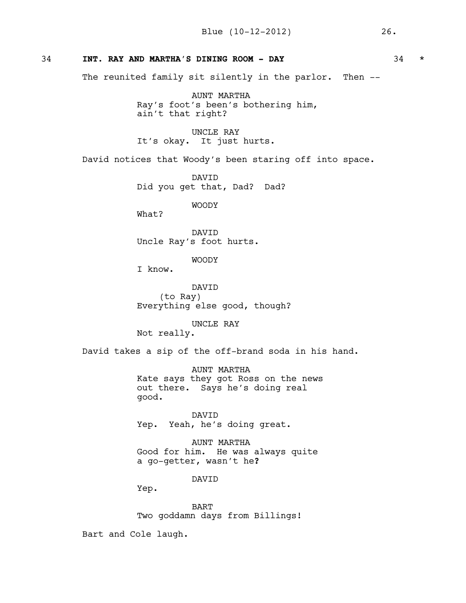## 34 **INT. RAY AND MARTHA'S DINING ROOM - DAY** 34 \*

The reunited family sit silently in the parlor. Then --

AUNT MARTHA Ray's foot's been's bothering him, ain't that right?

UNCLE RAY It's okay. It just hurts.

David notices that Woody's been staring off into space.

DAVID Did you get that, Dad? Dad?

WOODY

What?

DAVID Uncle Ray's foot hurts.

WOODY

I know.

DAVID (to Ray) Everything else good, though?

UNCLE RAY Not really.

David takes a sip of the off-brand soda in his hand.

AUNT MARTHA Kate says they got Ross on the news out there. Says he's doing real good.

DAVID Yep. Yeah, he's doing great.

AUNT MARTHA Good for him. He was always quite a go-getter, wasn't he**?**

DAVID

Yep.

BART Two goddamn days from Billings!

Bart and Cole laugh.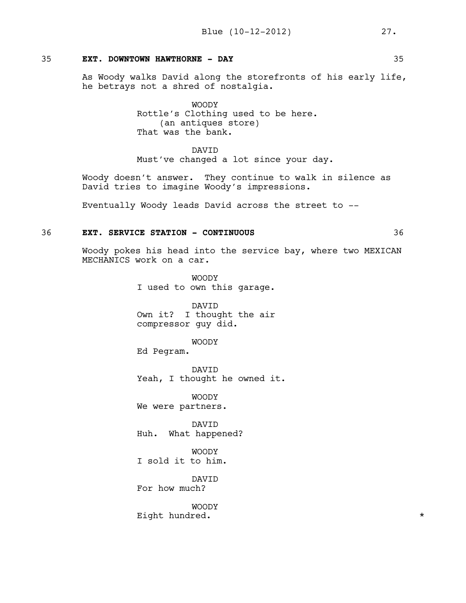## 35 **EXT. DOWNTOWN HAWTHORNE - DAY** 35

As Woody walks David along the storefronts of his early life, he betrays not a shred of nostalgia.

> WOODY Rottle's Clothing used to be here. (an antiques store) That was the bank.

DAVID Must've changed a lot since your day.

Woody doesn't answer. They continue to walk in silence as David tries to imagine Woody's impressions.

Eventually Woody leads David across the street to --

## 36 **EXT. SERVICE STATION - CONTINUOUS** 36

Woody pokes his head into the service bay, where two MEXICAN MECHANICS work on a car.

> WOODY I used to own this garage.

> DAVID Own it? I thought the air compressor guy did.

#### WOODY

Ed Pegram.

DAVID Yeah, I thought he owned it.

WOODY We were partners.

DAVID Huh. What happened?

WOODY I sold it to him.

DAVID For how much?

WOODY Eight hundred.  $\star$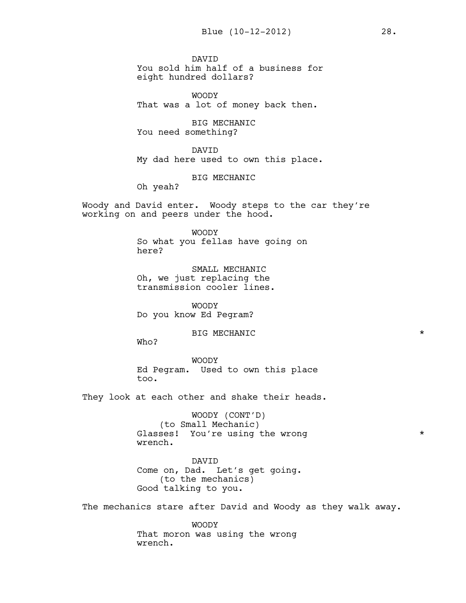DAVID You sold him half of a business for eight hundred dollars?

WOODY That was a lot of money back then.

BIG MECHANIC You need something?

DAVID My dad here used to own this place.

BIG MECHANIC

Oh yeah?

Woody and David enter. Woody steps to the car they're working on and peers under the hood.

> WOODY So what you fellas have going on here?

SMALL MECHANIC Oh, we just replacing the transmission cooler lines.

WOODY Do you know Ed Pegram?

BIG MECHANIC  $\qquad$ 

Who?

WOODY Ed Pegram. Used to own this place too.

They look at each other and shake their heads.

WOODY (CONT'D) (to Small Mechanic) Glasses! You're using the wrong  $*$ wrench.

DAVID Come on, Dad. Let's get going. (to the mechanics) Good talking to you.

The mechanics stare after David and Woody as they walk away.

WOODY That moron was using the wrong wrench.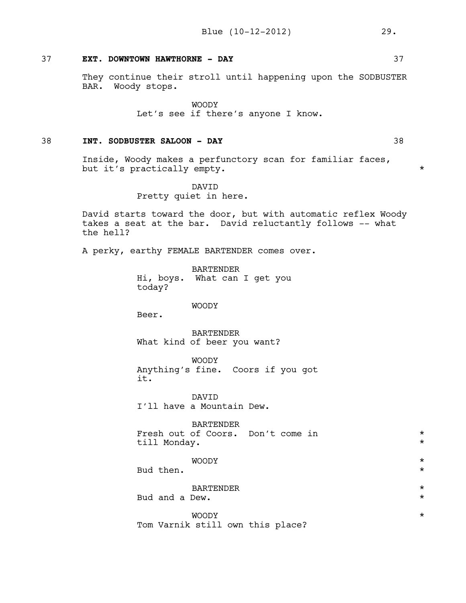## 37 **EXT. DOWNTOWN HAWTHORNE - DAY** 37

They continue their stroll until happening upon the SODBUSTER BAR. Woody stops.

> WOODY Let's see if there's anyone I know.

## 38 **INT. SODBUSTER SALOON - DAY** 38

Inside, Woody makes a perfunctory scan for familiar faces, but it's practically empty.  $*$ 

> DAVID Pretty quiet in here.

David starts toward the door, but with automatic reflex Woody takes a seat at the bar. David reluctantly follows -- what the hell?

A perky, earthy FEMALE BARTENDER comes over.

BARTENDER Hi, boys. What can I get you today?

#### WOODY

Beer.

BARTENDER What kind of beer you want?

WOODY Anything's fine. Coors if you got it.

DAVID I'll have a Mountain Dew.

BARTENDER Fresh out of Coors. Don't come in  $*$ till Monday. \* WOODY \* Bud then.  $\star$ 

BARTENDER \*

Bud and a Dew.  $\qquad \qquad \star$ 

WOODY \* Tom Varnik still own this place?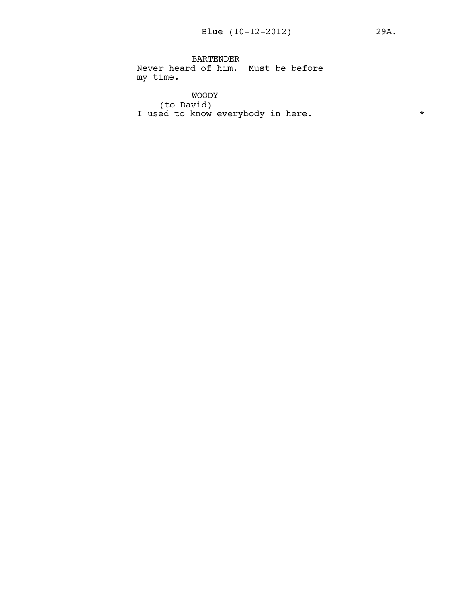BARTENDER Never heard of him. Must be before my time.

WOODY (to David) I used to know everybody in here.  $*$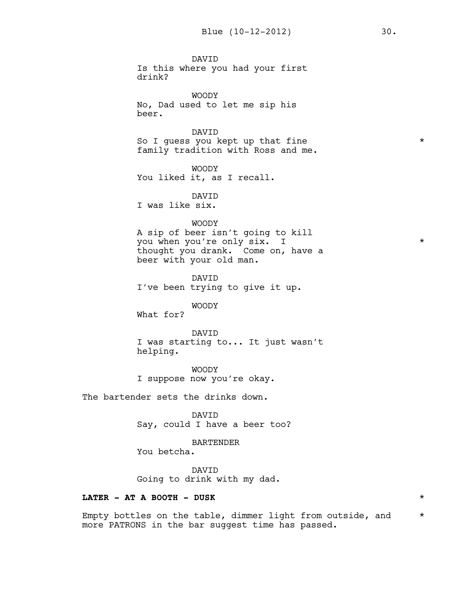DAVID Is this where you had your first drink?

WOODY No, Dad used to let me sip his beer.

DAVID So I guess you kept up that fine  $*$ family tradition with Ross and me.

WOODY You liked it, as I recall.

DAVID

I was like six.

#### WOODY

A sip of beer isn't going to kill you when you're only six. I  $*$ thought you drank. Come on, have a beer with your old man.

DAVID I've been trying to give it up.

## WOODY

What for?

#### DAVID

I was starting to... It just wasn't helping.

WOODY I suppose now you're okay.

The bartender sets the drinks down.

DAVID Say, could I have a beer too?

BARTENDER

You betcha.

DAVID Going to drink with my dad.

## **LATER - AT A BOOTH - DUSK** \*

Empty bottles on the table, dimmer light from outside, and  $*$ more PATRONS in the bar suggest time has passed.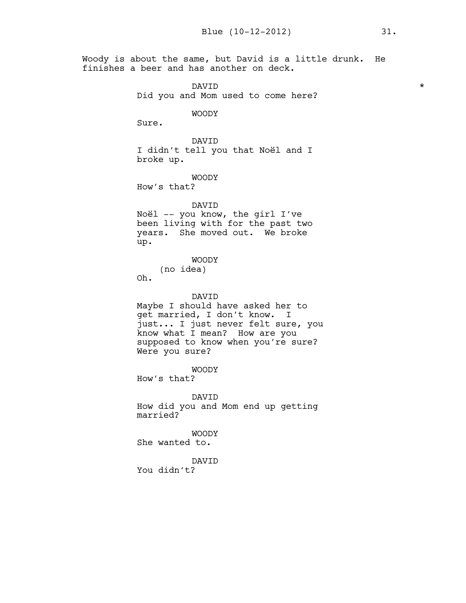Woody is about the same, but David is a little drunk. He finishes a beer and has another on deck.

> DAVID  $\qquad \qquad \star$ Did you and Mom used to come here? WOODY Sure. DAVID I didn't tell you that Noël and I broke up. WOODY How's that? DAVID Noël -- you know, the girl I've been living with for the past two years. She moved out. We broke up. WOODY (no idea) Oh. DAVID Maybe I should have asked her to get married, I don't know. I just... I just never felt sure, you know what I mean? How are you supposed to know when you're sure? Were you sure? WOODY How's that? DAVID How did you and Mom end up getting married? WOODY She wanted to. DAVID You didn't?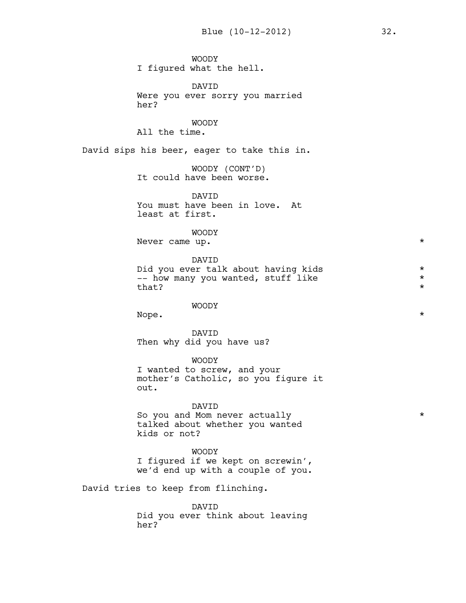WOODY I figured what the hell. DAVID Were you ever sorry you married her? WOODY All the time. David sips his beer, eager to take this in. WOODY (CONT'D) It could have been worse. DAVID You must have been in love. At least at first. WOODY Never came up.  $\star$ DAVID Did you ever talk about having kids \* -- how many you wanted, stuff like  $*$  $that?$ WOODY Nope.  $\qquad \qquad \star$ DAVID Then why did you have us? WOODY I wanted to screw, and your mother's Catholic, so you figure it out. DAVID So you and Mom never actually  $\star$ talked about whether you wanted kids or not? WOODY I figured if we kept on screwin', we'd end up with a couple of you. David tries to keep from flinching. DAVID Did you ever think about leaving her?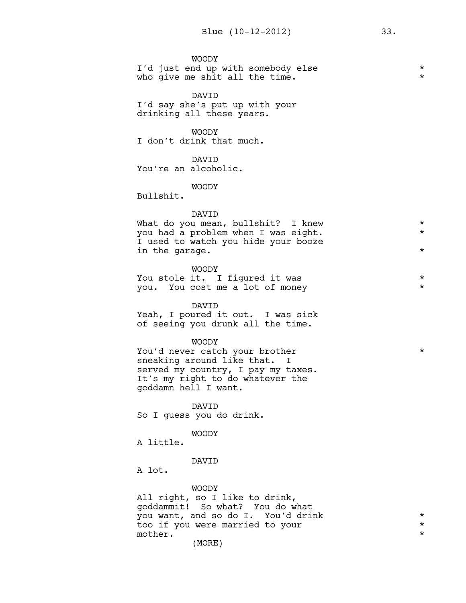|  | <b>WOODY</b> |  |                                    |  |  |  |
|--|--------------|--|------------------------------------|--|--|--|
|  |              |  | I'd just end up with somebody else |  |  |  |
|  |              |  | who give me shit all the time.     |  |  |  |

DAVID I'd say she's put up with your drinking all these years.

WOODY I don't drink that much.

#### DAVID

You're an alcoholic.

#### WOODY

Bullshit.

#### DAVID

| What do you mean, bullshit? I knew  | $\star$ |
|-------------------------------------|---------|
| you had a problem when I was eight. | $\star$ |
| I used to watch you hide your booze |         |
| in the garage.                      |         |

WOODY You stole it. I figured it was  $*$ you. You cost me a lot of money \*

#### DAVID

Yeah, I poured it out. I was sick of seeing you drunk all the time.

#### WOODY

You'd never catch your brother  $*$ sneaking around like that. I served my country, I pay my taxes. It's my right to do whatever the goddamn hell I want.

DAVID So I guess you do drink.

#### WOODY

A little.

#### DAVID

A lot.

WOODY All right, so I like to drink, goddammit! So what? You do what you want, and so do I. You'd drink \* too if you were married to your  $\qquad \qquad *$ <br>mother. mother.  $\star$ 

(MORE)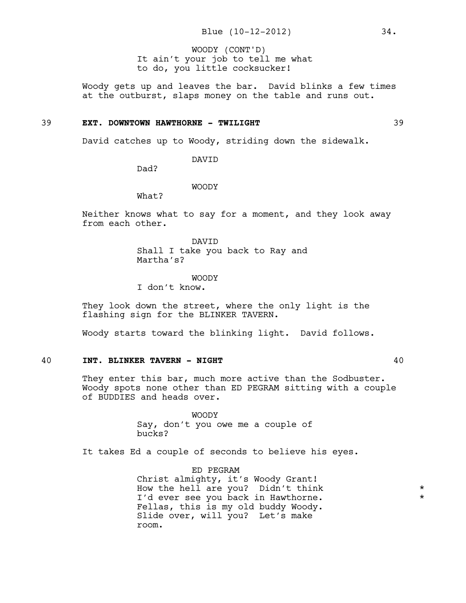It ain't your job to tell me what to do, you little cocksucker! WOODY (CONT'D)

Woody gets up and leaves the bar. David blinks a few times at the outburst, slaps money on the table and runs out.

#### 39 **EXT. DOWNTOWN HAWTHORNE - TWILIGHT** 39

David catches up to Woody, striding down the sidewalk.

DAVID

Dad?

WOODY

What?

Neither knows what to say for a moment, and they look away from each other.

> DAVID Shall I take you back to Ray and Martha's?

#### WOODY

I don't know.

They look down the street, where the only light is the flashing sign for the BLINKER TAVERN.

Woody starts toward the blinking light. David follows.

#### 40 **INT. BLINKER TAVERN - NIGHT** 40

They enter this bar, much more active than the Sodbuster. Woody spots none other than ED PEGRAM sitting with a couple of BUDDIES and heads over.

> WOODY Say, don't you owe me a couple of bucks?

It takes Ed a couple of seconds to believe his eyes.

ED PEGRAM Christ almighty, it's Woody Grant! How the hell are you? Didn't think \* I'd ever see you back in Hawthorne. \* \* Fellas, this is my old buddy Woody. Slide over, will you? Let's make room.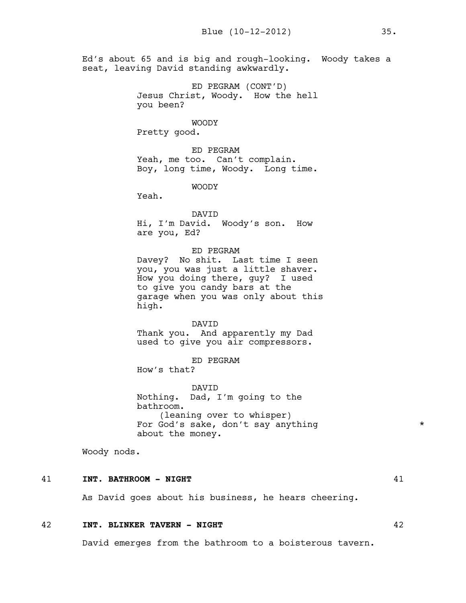Ed's about 65 and is big and rough-looking. Woody takes a seat, leaving David standing awkwardly.

> ED PEGRAM (CONT'D) Jesus Christ, Woody. How the hell you been?

> > WOODY

Pretty good.

ED PEGRAM Yeah, me too. Can't complain. Boy, long time, Woody. Long time.

WOODY

Yeah.

DAVID Hi, I'm David. Woody's son. How are you, Ed?

ED PEGRAM

Davey? No shit. Last time I seen you, you was just a little shaver. How you doing there, guy? I used to give you candy bars at the garage when you was only about this high.

DAVID Thank you. And apparently my Dad used to give you air compressors.

ED PEGRAM How's that?

DAVID Nothing. Dad, I'm going to the bathroom. (leaning over to whisper) For God's sake, don't say anything  $*$ about the money.

Woody nods.

#### 41 **INT. BATHROOM - NIGHT** 41

As David goes about his business, he hears cheering.

#### 42 **INT. BLINKER TAVERN - NIGHT** 42

David emerges from the bathroom to a boisterous tavern.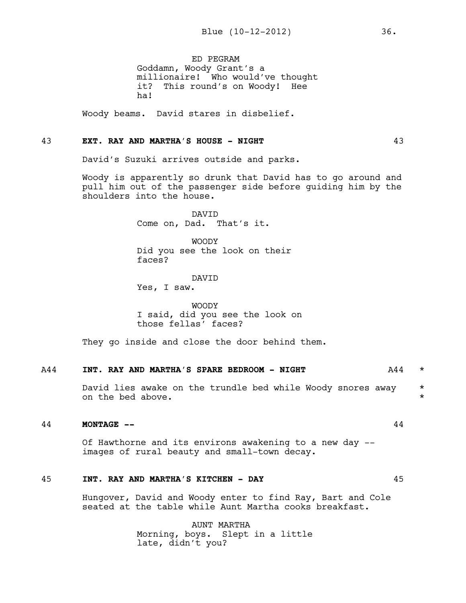ED PEGRAM Goddamn, Woody Grant's a millionaire! Who would've thought it? This round's on Woody! Hee ha!

Woody beams. David stares in disbelief.

#### 43 **EXT. RAY AND MARTHA'S HOUSE - NIGHT** 43

David's Suzuki arrives outside and parks.

Woody is apparently so drunk that David has to go around and pull him out of the passenger side before guiding him by the shoulders into the house.

> DAVID Come on, Dad. That's it.

WOODY Did you see the look on their faces?

# DAVID

Yes, I saw.

WOODY I said, did you see the look on those fellas' faces?

They go inside and close the door behind them.

#### A44 **INT. RAY AND MARTHA'S SPARE BEDROOM - NIGHT** A44 \*

David lies awake on the trundle bed while Woody snores away \* on the bed above.

#### 44 **MONTAGE --** 44

Of Hawthorne and its environs awakening to a new day - images of rural beauty and small-town decay.

#### 45 **INT. RAY AND MARTHA'S KITCHEN - DAY** 45

Hungover, David and Woody enter to find Ray, Bart and Cole seated at the table while Aunt Martha cooks breakfast.

> AUNT MARTHA Morning, boys. Slept in a little late, didn't you?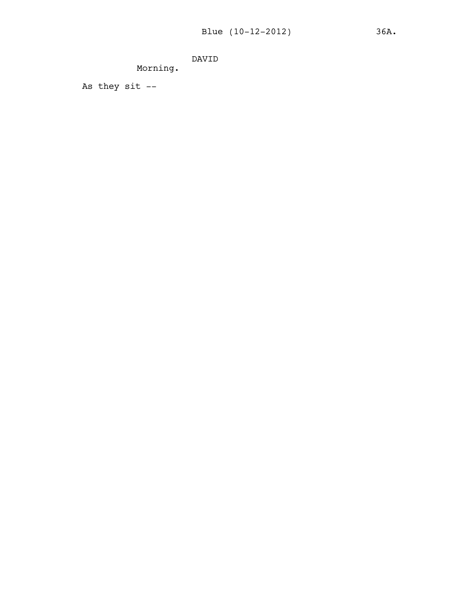DAVID

Morning.

As they  $s$ it  $-$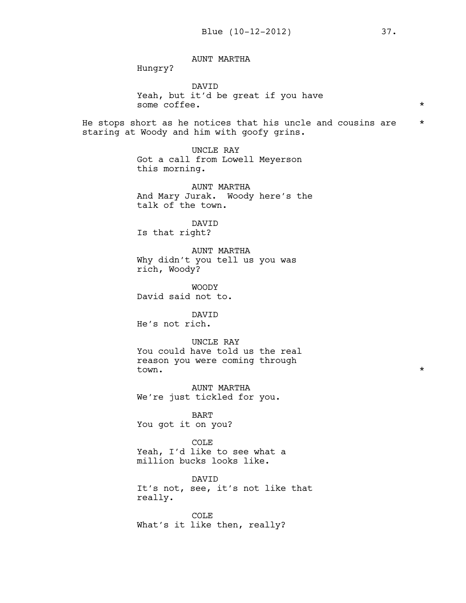AUNT MARTHA

Hungry?

DAVID Yeah, but it'd be great if you have some coffee. \*

He stops short as he notices that his uncle and cousins are \* staring at Woody and him with goofy grins.

> UNCLE RAY Got a call from Lowell Meyerson this morning.

AUNT MARTHA And Mary Jurak. Woody here's the talk of the town.

DAVID Is that right?

AUNT MARTHA Why didn't you tell us you was rich, Woody?

WOODY David said not to.

DAVID He's not rich.

UNCLE RAY You could have told us the real reason you were coming through town.  $\star$ 

AUNT MARTHA We're just tickled for you.

BART You got it on you?

COLE Yeah, I'd like to see what a million bucks looks like.

DAVID It's not, see, it's not like that really.

COLE What's it like then, really?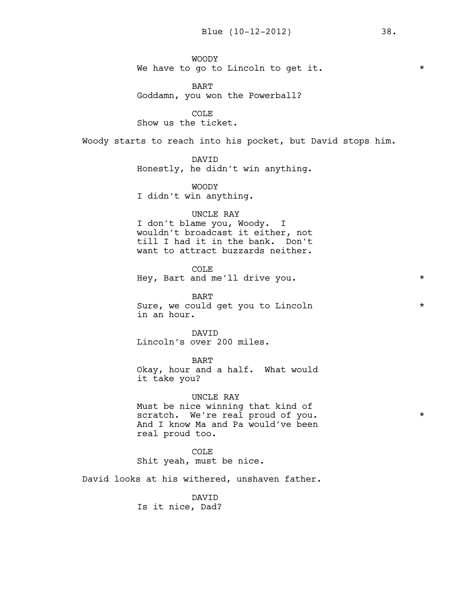WOODY We have to go to Lincoln to get it.  $*$ 

BART Goddamn, you won the Powerball?

COLE Show us the ticket.

Woody starts to reach into his pocket, but David stops him.

DAVID

Honestly, he didn't win anything.

WOODY

I didn't win anything.

#### UNCLE RAY

I don't blame you, Woody. I wouldn't broadcast it either, not till I had it in the bank. Don't want to attract buzzards neither.

COLE Hey, Bart and me'll drive you. \*

BART Sure, we could get you to Lincoln  $*$ in an hour.

DAVID Lincoln's over 200 miles.

BART Okay, hour and a half. What would it take you?

UNCLE RAY Must be nice winning that kind of scratch. We're real proud of you.  $*$ And I know Ma and Pa would've been real proud too.

COLE Shit yeah, must be nice.

David looks at his withered, unshaven father.

DAVID Is it nice, Dad?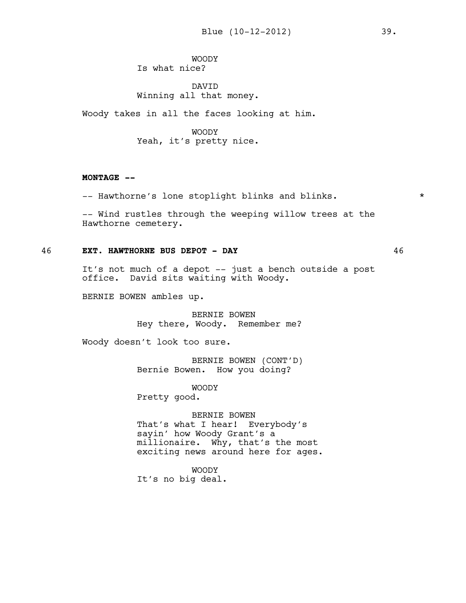WOODY Is what nice?

#### DAVID Winning all that money.

Woody takes in all the faces looking at him.

WOODY Yeah, it's pretty nice.

#### **MONTAGE --**

-- Hawthorne's lone stoplight blinks and blinks.  $*$ 

-- Wind rustles through the weeping willow trees at the Hawthorne cemetery.

### 46 **EXT. HAWTHORNE BUS DEPOT - DAY** 46

It's not much of a depot -- just a bench outside a post office. David sits waiting with Woody.

BERNIE BOWEN ambles up.

BERNIE BOWEN Hey there, Woody. Remember me?

Woody doesn't look too sure.

BERNIE BOWEN (CONT'D) Bernie Bowen. How you doing?

WOODY

Pretty good.

BERNIE BOWEN That's what I hear! Everybody's sayin' how Woody Grant's a millionaire. Why, that's the most exciting news around here for ages.

WOODY It's no big deal.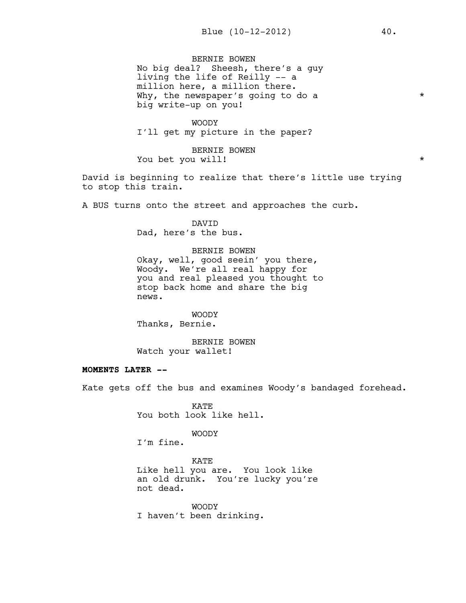BERNIE BOWEN No big deal? Sheesh, there's a guy living the life of Reilly -- a million here, a million there. Why, the newspaper's going to do a  $*$ big write-up on you!

WOODY I'll get my picture in the paper?

BERNIE BOWEN You bet you will! \*

David is beginning to realize that there's little use trying to stop this train.

A BUS turns onto the street and approaches the curb.

DAVID Dad, here's the bus.

BERNIE BOWEN Okay, well, good seein' you there, Woody. We're all real happy for you and real pleased you thought to stop back home and share the big news.

WOODY Thanks, Bernie.

BERNIE BOWEN Watch your wallet!

#### **MOMENTS LATER --**

Kate gets off the bus and examines Woody's bandaged forehead.

KATE You both look like hell.

WOODY

I'm fine.

KATE Like hell you are. You look like an old drunk. You're lucky you're not dead.

WOODY I haven't been drinking.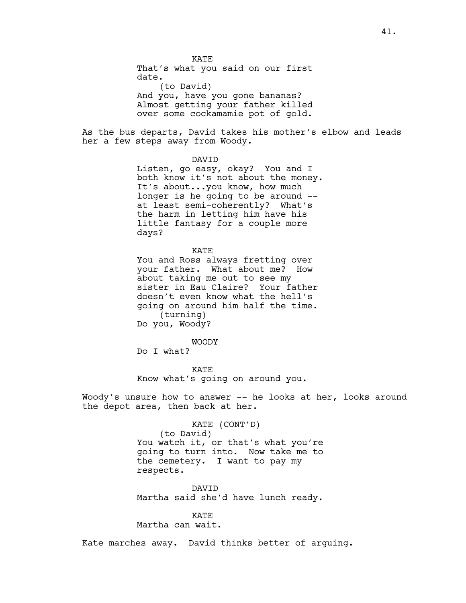**KATE** That's what you said on our first date. (to David) And you, have you gone bananas? Almost getting your father killed over some cockamamie pot of gold.

As the bus departs, David takes his mother's elbow and leads her a few steps away from Woody.

#### DAVID

Listen, go easy, okay? You and I both know it's not about the money. It's about...you know, how much longer is he going to be around - at least semi-coherently? What's the harm in letting him have his little fantasy for a couple more days?

#### KATE

You and Ross always fretting over your father. What about me? How about taking me out to see my sister in Eau Claire? Your father doesn't even know what the hell's going on around him half the time. (turning) Do you, Woody?

#### WOODY

Do I what?

KATE Know what's going on around you.

Woody's unsure how to answer -- he looks at her, looks around the depot area, then back at her.

#### KATE (CONT'D)

(to David) You watch it, or that's what you're going to turn into. Now take me to the cemetery. I want to pay my respects.

DAVID Martha said she'd have lunch ready.

KATE Martha can wait.

Kate marches away. David thinks better of arguing.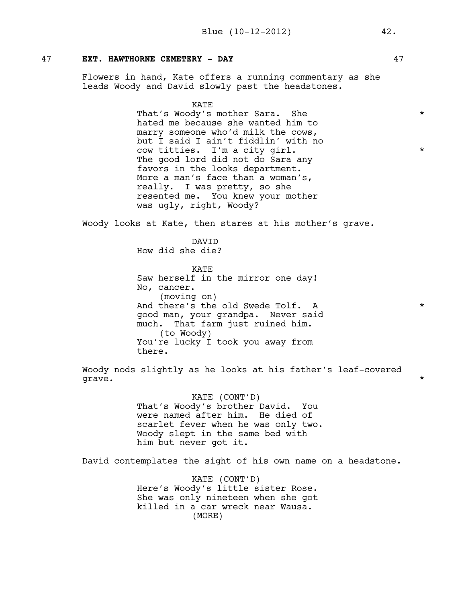#### 47 **EXT. HAWTHORNE CEMETERY - DAY** 47

Flowers in hand, Kate offers a running commentary as she leads Woody and David slowly past the headstones.

KATE

That's Woody's mother Sara. She  $*$ hated me because she wanted him to marry someone who'd milk the cows, but I said I ain't fiddlin' with no cow titties. I'm a city girl. \* The good lord did not do Sara any favors in the looks department. More a man's face than a woman's, really. I was pretty, so she resented me. You knew your mother was ugly, right, Woody?

Woody looks at Kate, then stares at his mother's grave.

DAVID How did she die?

KATE Saw herself in the mirror one day! No, cancer. (moving on) And there's the old Swede Tolf. A  $*$ good man, your grandpa. Never said much. That farm just ruined him. (to Woody) You're lucky I took you away from there.

Woody nods slightly as he looks at his father's leaf-covered grave.  $\star$ 

> KATE (CONT'D) That's Woody's brother David. You were named after him. He died of scarlet fever when he was only two. Woody slept in the same bed with him but never got it.

David contemplates the sight of his own name on a headstone.

KATE (CONT'D) Here's Woody's little sister Rose. She was only nineteen when she got killed in a car wreck near Wausa. (MORE)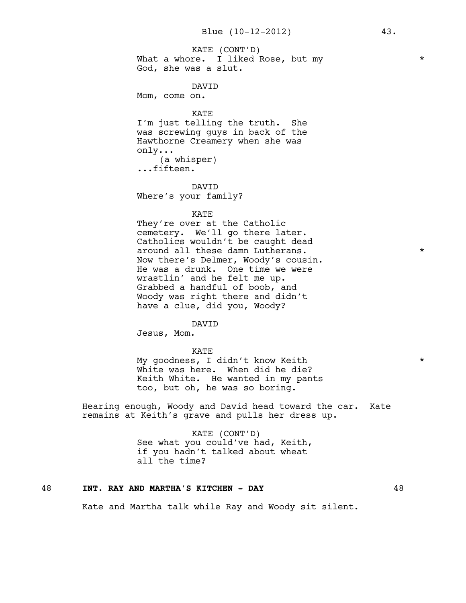What a whore. I liked Rose, but my  $*$ God, she was a slut. KATE (CONT'D)

DAVID

Mom, come on.

KATE

I'm just telling the truth. She was screwing guys in back of the Hawthorne Creamery when she was only... (a whisper) ...fifteen.

DAVID Where's your family?

KATE

They're over at the Catholic cemetery. We'll go there later. Catholics wouldn't be caught dead around all these damn Lutherans.  $*$ Now there's Delmer, Woody's cousin. He was a drunk. One time we were wrastlin' and he felt me up. Grabbed a handful of boob, and Woody was right there and didn't have a clue, did you, Woody?

#### DAVID

Jesus, Mom.

#### KATE

My goodness, I didn't know Keith \* White was here. When did he die? Keith White. He wanted in my pants too, but oh, he was so boring.

Hearing enough, Woody and David head toward the car. Kate remains at Keith's grave and pulls her dress up.

#### KATE (CONT'D) See what you could've had, Keith, if you hadn't talked about wheat all the time?

#### 48 **INT. RAY AND MARTHA'S KITCHEN - DAY** 48

Kate and Martha talk while Ray and Woody sit silent.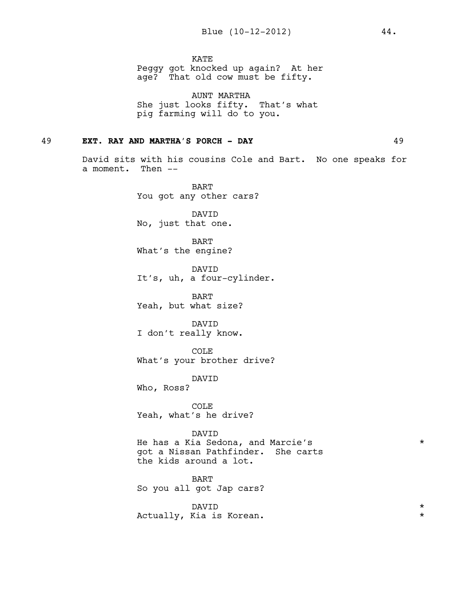KATE

Peggy got knocked up again? At her age? That old cow must be fifty.

AUNT MARTHA She just looks fifty. That's what pig farming will do to you.

#### 49 **EXT. RAY AND MARTHA'S PORCH - DAY** 49

David sits with his cousins Cole and Bart. No one speaks for a moment. Then --

> BART You got any other cars?

DAVID No, just that one.

BART What's the engine?

DAVID It's, uh, a four-cylinder.

BART Yeah, but what size?

DAVID I don't really know.

COLE What's your brother drive?

DAVID

Who, Ross?

COLE Yeah, what's he drive?

DAVID He has a Kia Sedona, and Marcie's \* got a Nissan Pathfinder. She carts the kids around a lot.

BART So you all got Jap cars?

DAVID  $\qquad \qquad \star$ Actually, Kia is Korean.  $\star$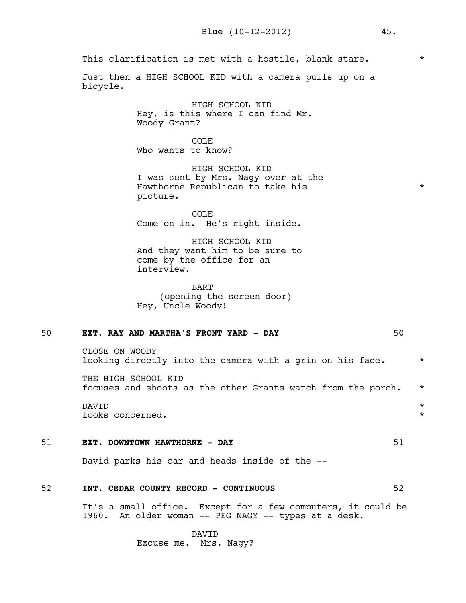This clarification is met with a hostile, blank stare.  $*$ 

Just then a HIGH SCHOOL KID with a camera pulls up on a bicycle.

> HIGH SCHOOL KID Hey, is this where I can find Mr. Woody Grant?

COLE<sub></sub> Who wants to know?

HIGH SCHOOL KID I was sent by Mrs. Nagy over at the Hawthorne Republican to take his \* picture.

COLE Come on in. He's right inside.

HIGH SCHOOL KID And they want him to be sure to come by the office for an interview.

BART (opening the screen door) Hey, Uncle Woody!

#### 50 **EXT. RAY AND MARTHA'S FRONT YARD - DAY** 50

CLOSE ON WOODY looking directly into the camera with a grin on his face.  $*$ 

THE HIGH SCHOOL KID focuses and shoots as the other Grants watch from the porch. \*

DAVID  $\qquad \qquad \star$ looks concerned. \*

#### 51 **EXT. DOWNTOWN HAWTHORNE - DAY** 51

David parks his car and heads inside of the --

#### 52 **INT. CEDAR COUNTY RECORD - CONTINUOUS** 52

It's a small office. Except for a few computers, it could be 1960. An older woman -- PEG NAGY -- types at a desk.

> DAVID Excuse me. Mrs. Nagy?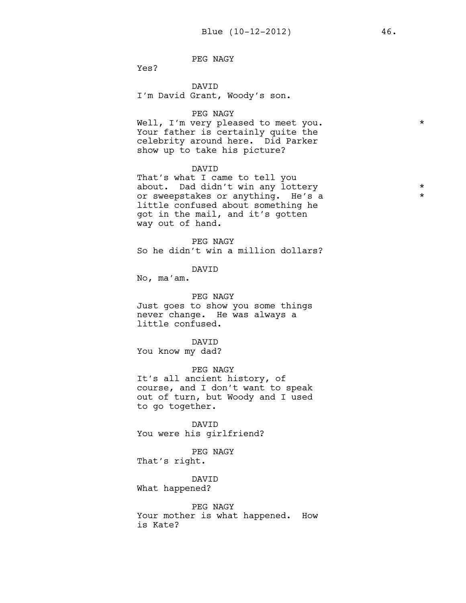PEG NAGY

Yes?

DAVID I'm David Grant, Woody's son.

#### PEG NAGY

Well, I'm very pleased to meet you. \* \* Your father is certainly quite the celebrity around here. Did Parker show up to take his picture?

#### DAVID

That's what I came to tell you about. Dad didn't win any lottery \* or sweepstakes or anything. He's a \* little confused about something he got in the mail, and it's gotten way out of hand.

PEG NAGY So he didn't win a million dollars?

DAVID

No, ma'am.

PEG NAGY Just goes to show you some things never change. He was always a little confused.

DAVID

You know my dad?

PEG NAGY It's all ancient history, of course, and I don't want to speak out of turn, but Woody and I used to go together.

DAVID You were his girlfriend?

PEG NAGY That's right.

DAVID What happened?

PEG NAGY Your mother is what happened. How is Kate?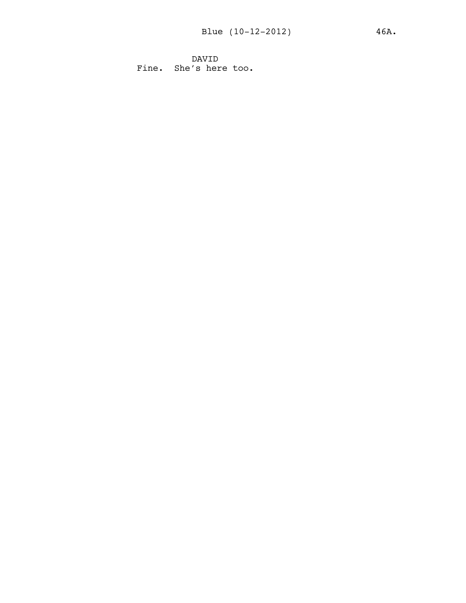DAVID Fine. She's here too.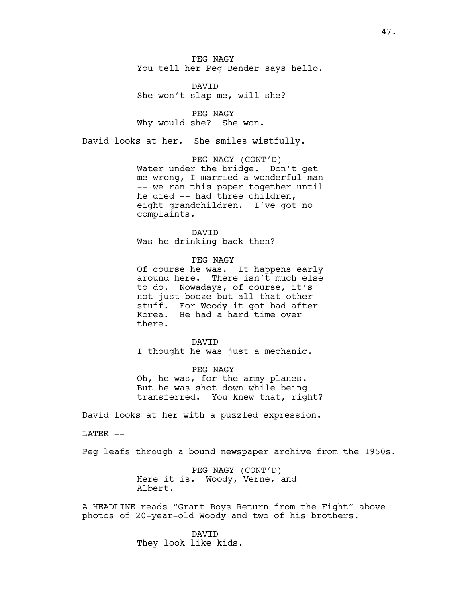PEG NAGY You tell her Peg Bender says hello.

DAVID She won't slap me, will she?

PEG NAGY Why would she? She won.

David looks at her. She smiles wistfully.

PEG NAGY (CONT'D) Water under the bridge. Don't get me wrong, I married a wonderful man -- we ran this paper together until he died -- had three children, eight grandchildren. I've got no complaints.

DAVID Was he drinking back then?

PEG NAGY Of course he was. It happens early around here. There isn't much else to do. Nowadays, of course, it's not just booze but all that other stuff. For Woody it got bad after Korea. He had a hard time over there.

DAVID I thought he was just a mechanic.

PEG NAGY Oh, he was, for the army planes. But he was shot down while being transferred. You knew that, right?

David looks at her with a puzzled expression.

LATER --

Peg leafs through a bound newspaper archive from the 1950s.

PEG NAGY (CONT'D) Here it is. Woody, Verne, and Albert.

A HEADLINE reads "Grant Boys Return from the Fight" above photos of 20-year-old Woody and two of his brothers.

> DAVID They look like kids.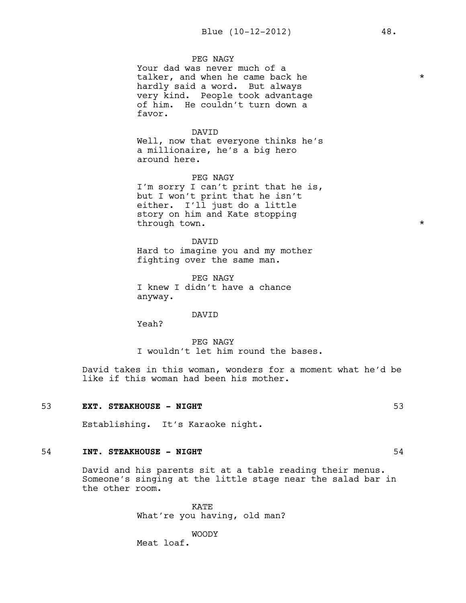#### PEG NAGY

Your dad was never much of a talker, and when he came back he  $*$ hardly said a word. But always very kind. People took advantage of him. He couldn't turn down a favor.

#### DAVID

Well, now that everyone thinks he's a millionaire, he's a big hero around here.

PEG NAGY I'm sorry I can't print that he is, but I won't print that he isn't either. I'll just do a little story on him and Kate stopping through town.  $\star$ 

DAVID Hard to imagine you and my mother fighting over the same man.

PEG NAGY I knew I didn't have a chance anyway.

#### DAVID

Yeah?

PEG NAGY I wouldn't let him round the bases.

David takes in this woman, wonders for a moment what he'd be like if this woman had been his mother.

#### 53 **EXT. STEAKHOUSE - NIGHT** 53

Establishing. It's Karaoke night.

#### 54 **INT. STEAKHOUSE - NIGHT** 54 **54**

David and his parents sit at a table reading their menus. Someone's singing at the little stage near the salad bar in the other room.

> KATE What're you having, old man?

WOODY Meat loaf.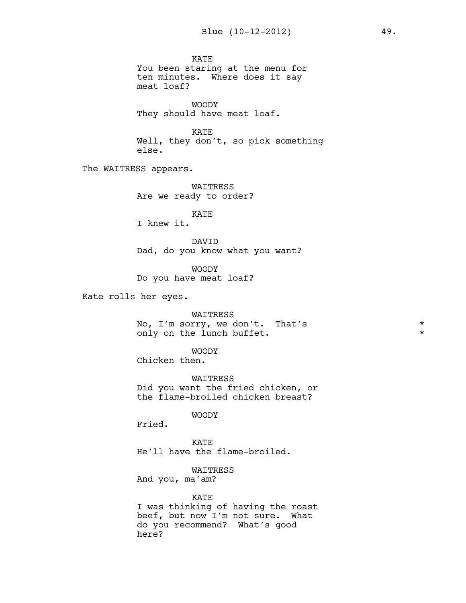KATE You been staring at the menu for ten minutes. Where does it say meat loaf? WOODY They should have meat loaf. KATE Well, they don't, so pick something else. The WAITRESS appears. WAITRESS Are we ready to order? KATE I knew it. DAVID Dad, do you know what you want? WOODY Do you have meat loaf? Kate rolls her eyes. WAITRESS No,  $I'm$  sorry, we don't. That's  $\star$ <br>
only on the lungh buffet only on the lunch buffet. WOODY Chicken then. WAITRESS Did you want the fried chicken, or the flame-broiled chicken breast? WOODY Fried. KATE He'll have the flame-broiled. WAITRESS And you, ma'am? KATE

I was thinking of having the roast beef, but now I'm not sure. What do you recommend? What's good here?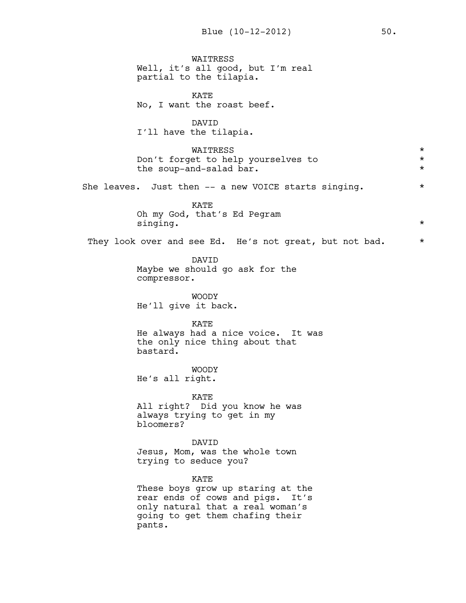**WATTRESS** Well, it's all good, but I'm real partial to the tilapia. KATE No, I want the roast beef. DAVID I'll have the tilapia. WAITRESS<br>et to belp vourselves to  $\star$ Don't forget to help yourselves to \* the soup-and-salad bar.  $\star$ She leaves. Just then -- a new VOICE starts singing.  $*$ KATE Oh my God, that's Ed Pegram singing.  $\star$ They look over and see Ed. He's not great, but not bad. \* DAVID Maybe we should go ask for the compressor. WOODY He'll give it back. KATE He always had a nice voice. It was the only nice thing about that bastard. WOODY He's all right. KATE All right? Did you know he was always trying to get in my bloomers? DAVID Jesus, Mom, was the whole town trying to seduce you? KATE These boys grow up staring at the rear ends of cows and pigs. It's only natural that a real woman's going to get them chafing their pants.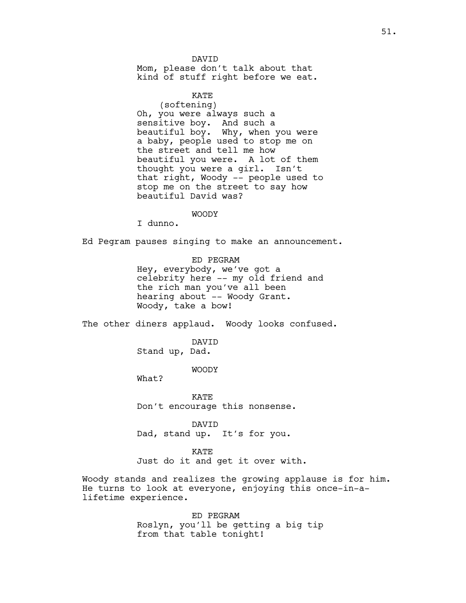DAVID Mom, please don't talk about that kind of stuff right before we eat.

KATE (softening) Oh, you were always such a sensitive boy. And such a beautiful boy. Why, when you were a baby, people used to stop me on the street and tell me how beautiful you were. A lot of them thought you were a girl. Isn't that right, Woody -- people used to stop me on the street to say how beautiful David was?

WOODY

I dunno.

Ed Pegram pauses singing to make an announcement.

ED PEGRAM Hey, everybody, we've got a celebrity here -- my old friend and the rich man you've all been hearing about -- Woody Grant. Woody, take a bow!

The other diners applaud. Woody looks confused.

DAVID Stand up, Dad.

WOODY

What?

KATE Don't encourage this nonsense.

DAVID Dad, stand up. It's for you.

KATE Just do it and get it over with.

Woody stands and realizes the growing applause is for him. He turns to look at everyone, enjoying this once-in-alifetime experience.

> ED PEGRAM Roslyn, you'll be getting a big tip from that table tonight!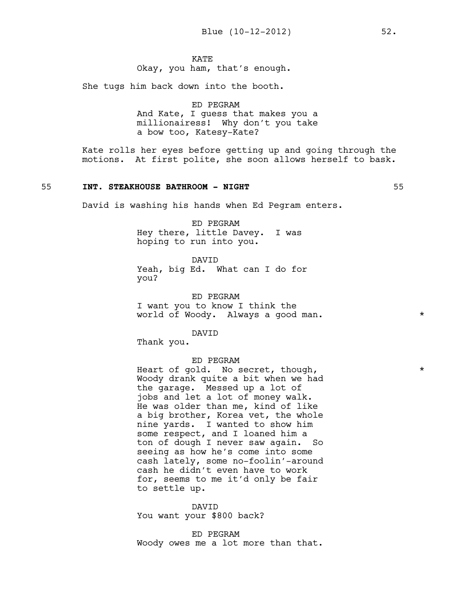**KATE** 

Okay, you ham, that's enough.

She tugs him back down into the booth.

ED PEGRAM And Kate, I guess that makes you a millionairess! Why don't you take a bow too, Katesy-Kate?

Kate rolls her eyes before getting up and going through the motions. At first polite, she soon allows herself to bask.

#### 55 **INT. STEAKHOUSE BATHROOM - NIGHT** 55

David is washing his hands when Ed Pegram enters.

ED PEGRAM Hey there, little Davey. I was hoping to run into you.

DAVID Yeah, big Ed. What can I do for you?

ED PEGRAM I want you to know I think the world of Woody. Always a good man.  $*$ 

DAVID

Thank you.

#### ED PEGRAM

Heart of gold. No secret, though,  $*$ Woody drank quite a bit when we had the garage. Messed up a lot of jobs and let a lot of money walk. He was older than me, kind of like a big brother, Korea vet, the whole nine yards. I wanted to show him some respect, and I loaned him a ton of dough I never saw again. So seeing as how he's come into some cash lately, some no-foolin'-around cash he didn't even have to work for, seems to me it'd only be fair to settle up.

DAVID You want your \$800 back?

ED PEGRAM Woody owes me a lot more than that.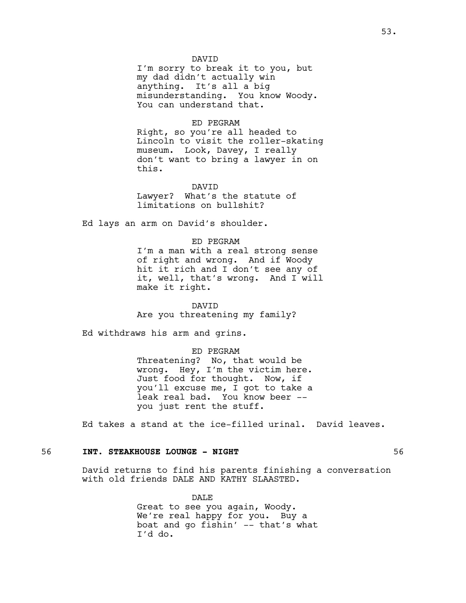#### DAVID

I'm sorry to break it to you, but my dad didn't actually win anything. It's all a big misunderstanding. You know Woody. You can understand that.

#### ED PEGRAM

Right, so you're all headed to Lincoln to visit the roller-skating museum. Look, Davey, I really don't want to bring a lawyer in on this.

DAVID

Lawyer? What's the statute of limitations on bullshit?

Ed lays an arm on David's shoulder.

#### ED PEGRAM

I'm a man with a real strong sense of right and wrong. And if Woody hit it rich and I don't see any of it, well, that's wrong. And I will make it right.

DAVID Are you threatening my family?

Ed withdraws his arm and grins.

#### ED PEGRAM

Threatening? No, that would be wrong. Hey, I'm the victim here. Just food for thought. Now, if you'll excuse me, I got to take a leak real bad. You know beer - you just rent the stuff.

Ed takes a stand at the ice-filled urinal. David leaves.

#### 56 **INT. STEAKHOUSE LOUNGE - NIGHT** 56

David returns to find his parents finishing a conversation with old friends DALE AND KATHY SLAASTED.

> DALE Great to see you again, Woody. We're real happy for you. Buy a boat and go fishin' -- that's what I'd do.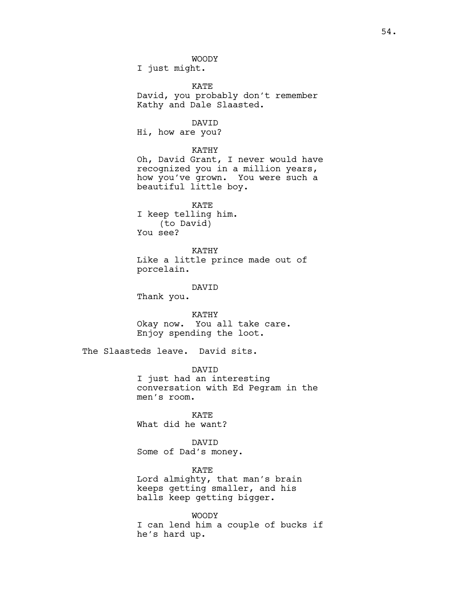WOODY

I just might.

KATE David, you probably don't remember Kathy and Dale Slaasted.

DAVID

Hi, how are you?

KATHY

Oh, David Grant, I never would have recognized you in a million years, how you've grown. You were such a beautiful little boy.

KATE I keep telling him. (to David) You see?

KATHY Like a little prince made out of porcelain.

DAVID

Thank you.

KATHY

Okay now. You all take care. Enjoy spending the loot.

The Slaasteds leave. David sits.

DAVID I just had an interesting conversation with Ed Pegram in the men's room.

KATE What did he want?

DAVID Some of Dad's money.

KATE Lord almighty, that man's brain keeps getting smaller, and his balls keep getting bigger.

WOODY I can lend him a couple of bucks if he's hard up.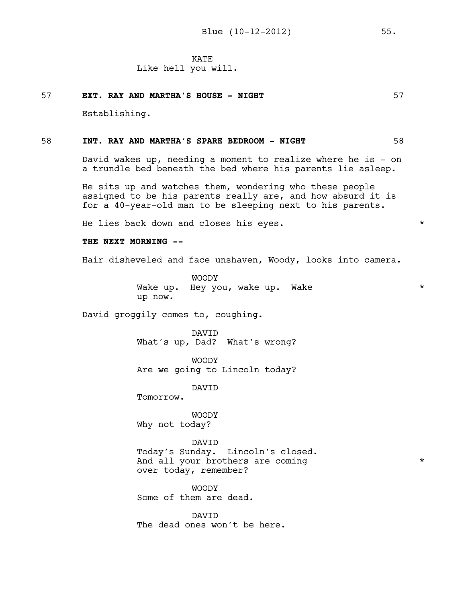## Like hell you will.

# 57 **EXT. RAY AND MARTHA'S HOUSE - NIGHT** 57

Establishing.

#### 58 **INT. RAY AND MARTHA'S SPARE BEDROOM - NIGHT** 58

David wakes up, needing a moment to realize where he is - on a trundle bed beneath the bed where his parents lie asleep.

He sits up and watches them, wondering who these people assigned to be his parents really are, and how absurd it is for a 40-year-old man to be sleeping next to his parents.

He lies back down and closes his eyes.  $*$ 

#### **THE NEXT MORNING --**

Hair disheveled and face unshaven, Woody, looks into camera.

WOODY Wake up. Hey you, wake up. Wake  $\star$ up now.

David groggily comes to, coughing.

DAVID What's up, Dad? What's wrong?

WOODY Are we going to Lincoln today?

DAVID

Tomorrow.

WOODY Why not today?

DAVID Today's Sunday. Lincoln's closed. And all your brothers are coming  $*$ over today, remember?

WOODY Some of them are dead.

DAVID The dead ones won't be here.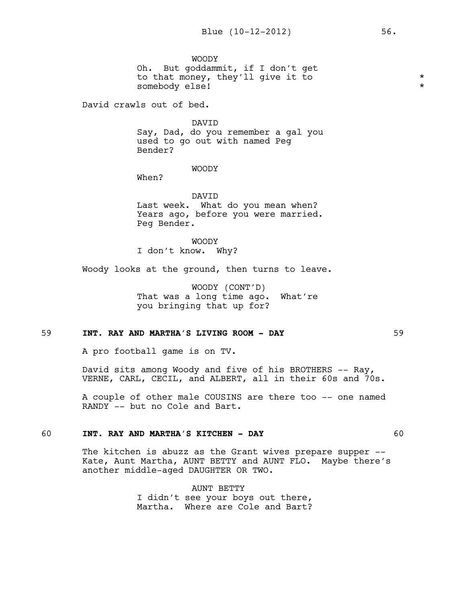WOODY Oh. But goddammit, if I don't get to that money, they'll give it to \* somebody else! \*

David crawls out of bed.

DAVID Say, Dad, do you remember a gal you used to go out with named Peg Bender?

#### WOODY

When?

DAVID Last week. What do you mean when? Years ago, before you were married. Peg Bender.

WOODY I don't know. Why?

Woody looks at the ground, then turns to leave.

WOODY (CONT'D) That was a long time ago. What're you bringing that up for?

#### 59 **INT. RAY AND MARTHA'S LIVING ROOM - DAY** 59

A pro football game is on TV.

David sits among Woody and five of his BROTHERS -- Ray, VERNE, CARL, CECIL, and ALBERT, all in their 60s and 70s.

A couple of other male COUSINS are there too -- one named RANDY -- but no Cole and Bart.

#### 60 **INT. RAY AND MARTHA'S KITCHEN - DAY** 60

The kitchen is abuzz as the Grant wives prepare supper --Kate, Aunt Martha, AUNT BETTY and AUNT FLO. Maybe there's another middle-aged DAUGHTER OR TWO.

> AUNT BETTY I didn't see your boys out there, Martha. Where are Cole and Bart?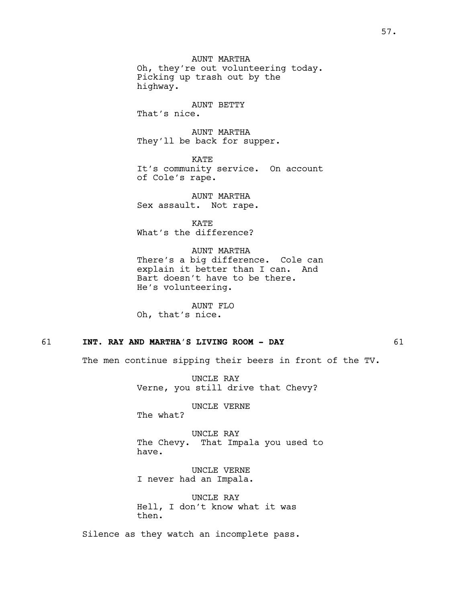AUNT MARTHA Oh, they're out volunteering today. Picking up trash out by the highway.

#### AUNT BETTY

That's nice.

AUNT MARTHA They'll be back for supper.

KATE It's community service. On account of Cole's rape.

AUNT MARTHA Sex assault. Not rape.

KATE What's the difference?

AUNT MARTHA There's a big difference. Cole can explain it better than I can. And Bart doesn't have to be there. He's volunteering.

AUNT FLO Oh, that's nice.

#### 61 **INT. RAY AND MARTHA'S LIVING ROOM - DAY** 61

The men continue sipping their beers in front of the TV.

UNCLE RAY Verne, you still drive that Chevy?

UNCLE VERNE

The what?

UNCLE RAY The Chevy. That Impala you used to have.

UNCLE VERNE I never had an Impala.

UNCLE RAY Hell, I don't know what it was then.

Silence as they watch an incomplete pass.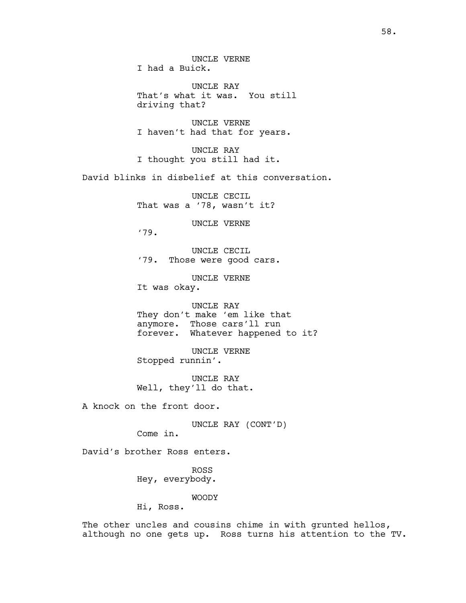UNCLE VERNE I had a Buick.

UNCLE RAY That's what it was. You still driving that?

UNCLE VERNE I haven't had that for years.

UNCLE RAY I thought you still had it.

David blinks in disbelief at this conversation.

UNCLE CECIL That was a '78, wasn't it?

UNCLE VERNE

'79.

UNCLE CECIL '79. Those were good cars.

UNCLE VERNE It was okay.

UNCLE RAY They don't make 'em like that anymore. Those cars'll run forever. Whatever happened to it?

UNCLE VERNE Stopped runnin'.

UNCLE RAY Well, they'll do that.

A knock on the front door.

UNCLE RAY (CONT'D)

Come in.

David's brother Ross enters.

ROSS Hey, everybody.

WOODY

Hi, Ross.

The other uncles and cousins chime in with grunted hellos, although no one gets up. Ross turns his attention to the TV.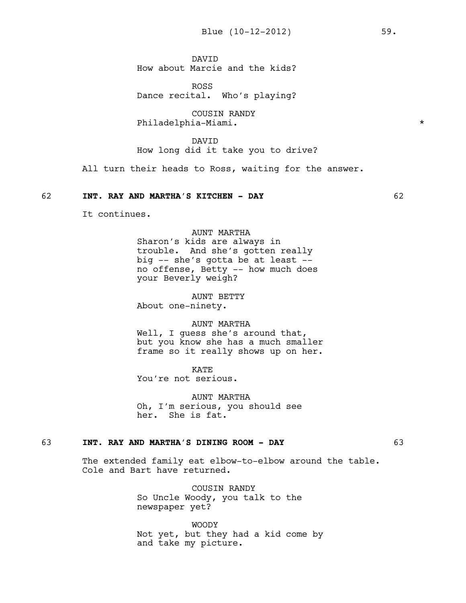DAVID How about Marcie and the kids?

ROSS Dance recital. Who's playing?

COUSIN RANDY Philadelphia-Miami. \*

DAVID How long did it take you to drive?

All turn their heads to Ross, waiting for the answer.

#### 62 **INT. RAY AND MARTHA'S KITCHEN - DAY** 62

It continues.

AUNT MARTHA Sharon's kids are always in trouble. And she's gotten really big -- she's gotta be at least - no offense, Betty -- how much does your Beverly weigh?

AUNT BETTY About one-ninety.

AUNT MARTHA Well, I quess she's around that, but you know she has a much smaller

frame so it really shows up on her.

KATE You're not serious.

AUNT MARTHA Oh, I'm serious, you should see her. She is fat.

#### 63 **INT. RAY AND MARTHA'S DINING ROOM - DAY** 63

The extended family eat elbow-to-elbow around the table. Cole and Bart have returned.

> COUSIN RANDY So Uncle Woody, you talk to the newspaper yet?

WOODY Not yet, but they had a kid come by and take my picture.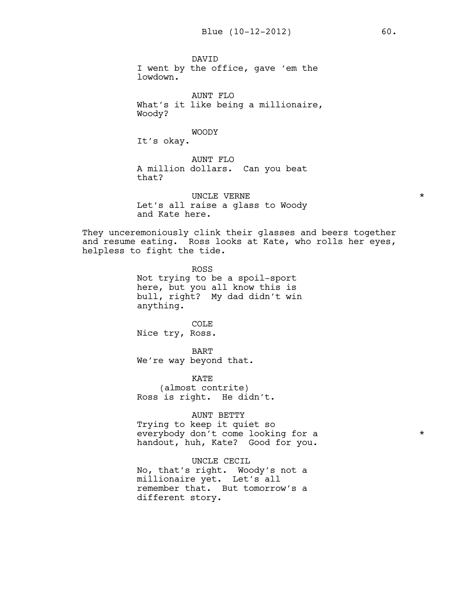DAVID I went by the office, gave 'em the lowdown.

AUNT FLO What's it like being a millionaire, Woody?

WOODY

It's okay.

AUNT FLO A million dollars. Can you beat that?

UNCLE VERNE  $\star$ Let's all raise a glass to Woody and Kate here.

They unceremoniously clink their glasses and beers together and resume eating. Ross looks at Kate, who rolls her eyes, helpless to fight the tide.

> ROSS Not trying to be a spoil-sport here, but you all know this is bull, right? My dad didn't win anything.

COLE Nice try, Ross.

BART We're way beyond that.

KATE (almost contrite) Ross is right. He didn't.

#### AUNT BETTY

Trying to keep it quiet so everybody don't come looking for a  $*$ handout, huh, Kate? Good for you.

UNCLE CECIL

No, that's right. Woody's not a millionaire yet. Let's all remember that. But tomorrow's a different story.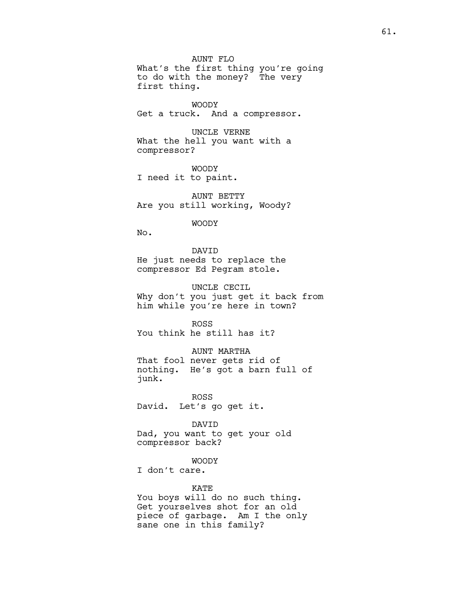AUNT FLO What's the first thing you're going to do with the money? The very first thing.

WOODY Get a truck. And a compressor.

UNCLE VERNE What the hell you want with a compressor?

WOODY I need it to paint.

AUNT BETTY Are you still working, Woody?

WOODY

No.

DAVID He just needs to replace the compressor Ed Pegram stole.

UNCLE CECIL Why don't you just get it back from him while you're here in town?

ROSS You think he still has it?

AUNT MARTHA That fool never gets rid of nothing. He's got a barn full of junk.

ROSS David. Let's go get it.

DAVID Dad, you want to get your old compressor back?

WOODY

I don't care.

#### KATE

You boys will do no such thing. Get yourselves shot for an old piece of garbage. Am I the only sane one in this family?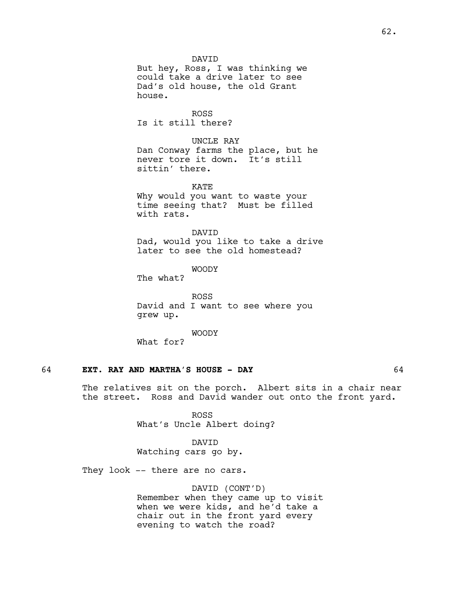But hey, Ross, I was thinking we could take a drive later to see Dad's old house, the old Grant house.

ROSS Is it still there?

UNCLE RAY Dan Conway farms the place, but he never tore it down. It's still sittin' there.

KATE Why would you want to waste your time seeing that? Must be filled with rats.

DAVID Dad, would you like to take a drive later to see the old homestead?

WOODY

The what?

ROSS David and I want to see where you grew up.

WOODY

What for?

#### 64 **EXT. RAY AND MARTHA'S HOUSE - DAY** 64

The relatives sit on the porch. Albert sits in a chair near the street. Ross and David wander out onto the front yard.

> ROSS What's Uncle Albert doing?

DAVID Watching cars go by.

They look -- there are no cars.

DAVID (CONT'D) Remember when they came up to visit when we were kids, and he'd take a chair out in the front yard every evening to watch the road?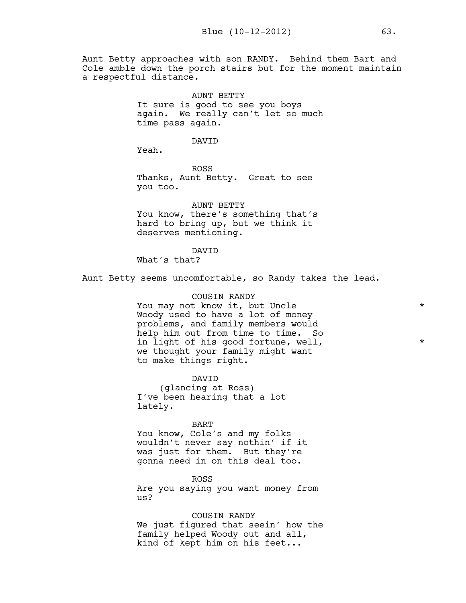Aunt Betty approaches with son RANDY. Behind them Bart and Cole amble down the porch stairs but for the moment maintain a respectful distance.

> AUNT BETTY It sure is good to see you boys again. We really can't let so much time pass again.

> > DAVID

Yeah.

ROSS Thanks, Aunt Betty. Great to see you too.

AUNT BETTY You know, there's something that's hard to bring up, but we think it deserves mentioning.

#### DAVID

What's that?

Aunt Betty seems uncomfortable, so Randy takes the lead.

#### COUSIN RANDY

You may not know it, but Uncle \* Woody used to have a lot of money problems, and family members would help him out from time to time. So in light of his good fortune, well,  $*$ we thought your family might want to make things right.

DAVID (glancing at Ross) I've been hearing that a lot lately.

BART

You know, Cole's and my folks wouldn't never say nothin' if it was just for them. But they're gonna need in on this deal too.

ROSS Are you saying you want money from us?

COUSIN RANDY We just figured that seein' how the family helped Woody out and all, kind of kept him on his feet...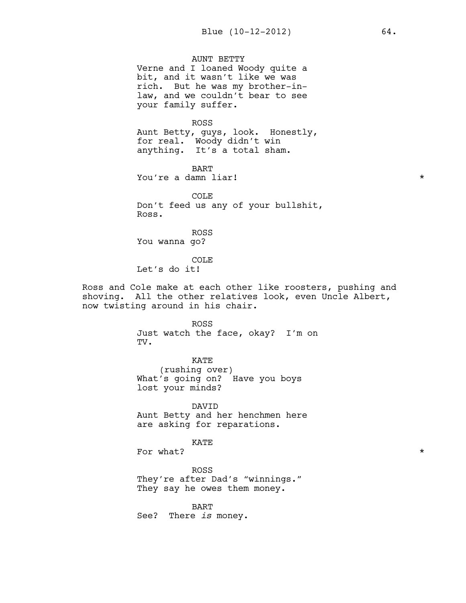AUNT BETTY Verne and I loaned Woody quite a bit, and it wasn't like we was rich. But he was my brother-inlaw, and we couldn't bear to see your family suffer.

ROSS

Aunt Betty, guys, look. Honestly, for real. Woody didn't win anything. It's a total sham.

BART You're a damn liar!  $\star$ 

COLE Don't feed us any of your bullshit, Ross.

ROSS You wanna go?

COLE Let's do it!

Ross and Cole make at each other like roosters, pushing and shoving. All the other relatives look, even Uncle Albert, now twisting around in his chair.

> ROSS Just watch the face, okay? I'm on TV.

KATE (rushing over) What's going on? Have you boys lost your minds?

DAVID Aunt Betty and her henchmen here are asking for reparations.

KATE

For what?  $\star$ 

ROSS They're after Dad's "winnings." They say he owes them money.

BART See? There *is* money.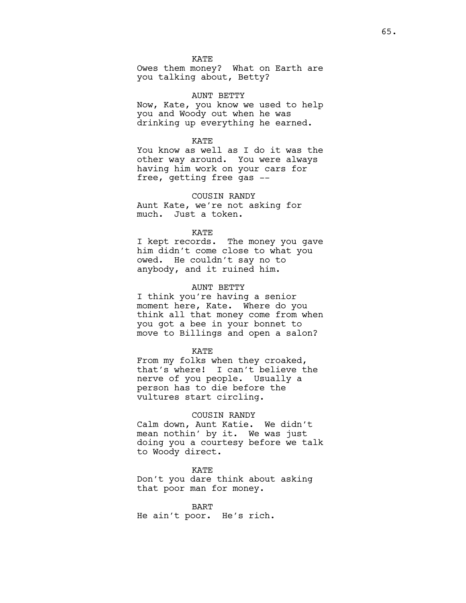**KATE** 

Owes them money? What on Earth are you talking about, Betty?

AUNT BETTY

Now, Kate, you know we used to help you and Woody out when he was drinking up everything he earned.

# **KATE**

You know as well as I do it was the other way around. You were always having him work on your cars for free, getting free gas --

#### COUSIN RANDY

Aunt Kate, we're not asking for much. Just a token.

## **KATE**

I kept records. The money you gave him didn't come close to what you owed. He couldn't say no to anybody, and it ruined him.

#### AUNT BETTY

I think you're having a senior moment here, Kate. Where do you think all that money come from when you got a bee in your bonnet to move to Billings and open a salon?

#### KATE

From my folks when they croaked, that's where! I can't believe the nerve of you people. Usually a person has to die before the vultures start circling.

#### COUSIN RANDY

Calm down, Aunt Katie. We didn't mean nothin' by it. We was just doing you a courtesy before we talk to Woody direct.

KATE

Don't you dare think about asking that poor man for money.

#### BART

He ain't poor. He's rich.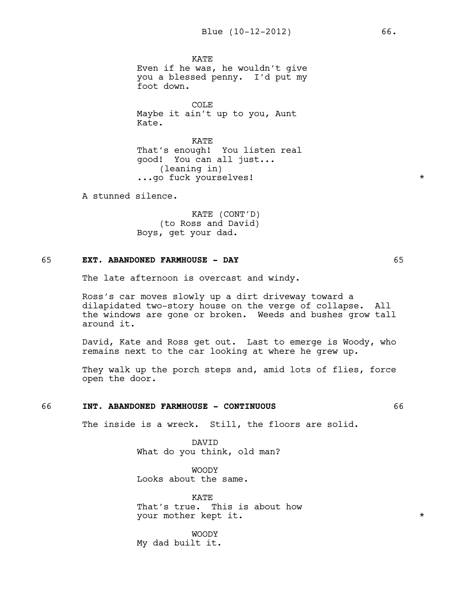**KATE** Even if he was, he wouldn't give you a blessed penny. I'd put my foot down.

COLE Maybe it ain't up to you, Aunt Kate.

**KATE** That's enough! You listen real good! You can all just... (leaning in) ...go fuck yourselves! \*

A stunned silence.

KATE (CONT'D) (to Ross and David) Boys, get your dad.

# 65 **EXT. ABANDONED FARMHOUSE - DAY** 65

The late afternoon is overcast and windy.

Ross's car moves slowly up a dirt driveway toward a dilapidated two-story house on the verge of collapse. All the windows are gone or broken. Weeds and bushes grow tall around it.

David, Kate and Ross get out. Last to emerge is Woody, who remains next to the car looking at where he grew up.

They walk up the porch steps and, amid lots of flies, force open the door.

# 66 **INT. ABANDONED FARMHOUSE - CONTINUOUS** 66

The inside is a wreck. Still, the floors are solid.

DAVID What do you think, old man?

WOODY Looks about the same.

**KATE** That's true. This is about how your mother kept it.  $\star$ 

WOODY My dad built it.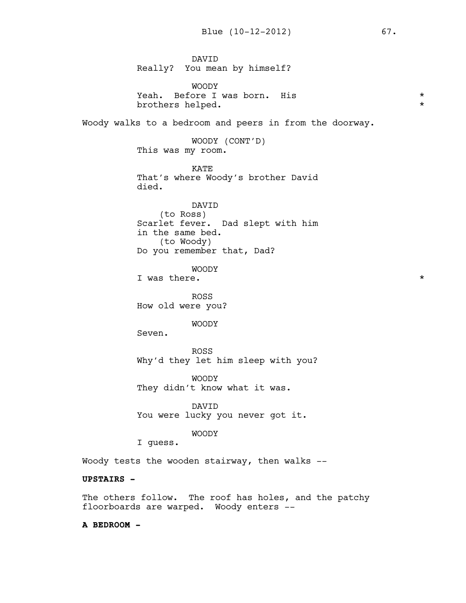DAVID Really? You mean by himself? WOODY Yeah. Before I was born. His  $\star$ <br>brothers helped brothers helped. Woody walks to a bedroom and peers in from the doorway. WOODY (CONT'D) This was my room. KATE That's where Woody's brother David died. DAVID (to Ross) Scarlet fever. Dad slept with him in the same bed. (to Woody) Do you remember that, Dad? WOODY I was there.  $\star$ ROSS How old were you? WOODY Seven. ROSS Why'd they let him sleep with you? WOODY They didn't know what it was. DAVID You were lucky you never got it. WOODY I guess. Woody tests the wooden stairway, then walks -- **UPSTAIRS -** The others follow. The roof has holes, and the patchy floorboards are warped. Woody enters --

**A BEDROOM -**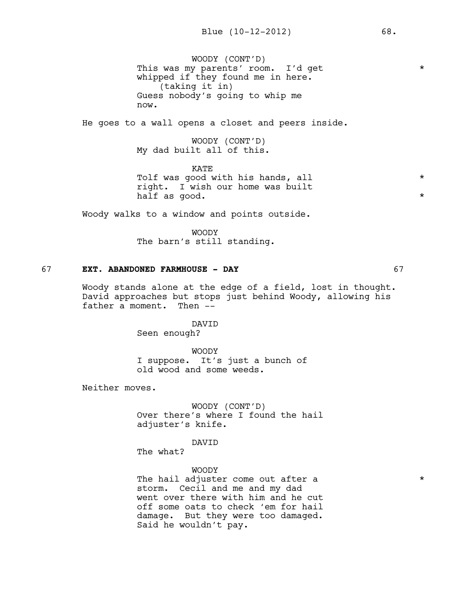WOODY (CONT'D) This was my parents' room. I'd get \* whipped if they found me in here. (taking it in) Guess nobody's going to whip me now.

He goes to a wall opens a closet and peers inside.

WOODY (CONT'D) My dad built all of this.

KATE Tolf was good with his hands, all  $*$ right. I wish our home was built half as good.  $\star$ 

Woody walks to a window and points outside.

WOODY The barn's still standing.

# 67 **EXT. ABANDONED FARMHOUSE - DAY** 67

Woody stands alone at the edge of a field, lost in thought. David approaches but stops just behind Woody, allowing his father a moment. Then --

DAVID

Seen enough?

WOODY I suppose. It's just a bunch of old wood and some weeds.

Neither moves.

WOODY (CONT'D) Over there's where I found the hail adjuster's knife.

DAVID

The what?

WOODY The hail adjuster come out after a  $*$ storm. Cecil and me and my dad went over there with him and he cut off some oats to check 'em for hail damage. But they were too damaged. Said he wouldn't pay.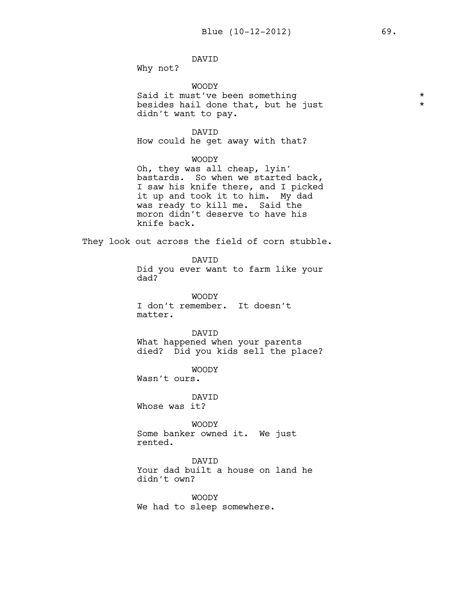# DAVID

Why not?

WOODY

Said it must've been something  $\star$ <br>besides hail done that, but he just besides hail done that, but he just \* didn't want to pay.

DAVID How could he get away with that?

# WOODY

Oh, they was all cheap, lyin' bastards. So when we started back, I saw his knife there, and I picked it up and took it to him. My dad was ready to kill me. Said the moron didn't deserve to have his knife back.

They look out across the field of corn stubble.

DAVID Did you ever want to farm like your dad?

WOODY I don't remember. It doesn't matter.

DAVID What happened when your parents died? Did you kids sell the place?

WOODY

Wasn't ours.

DAVID Whose was it?

WOODY Some banker owned it. We just rented.

DAVID

Your dad built a house on land he didn't own?

WOODY We had to sleep somewhere.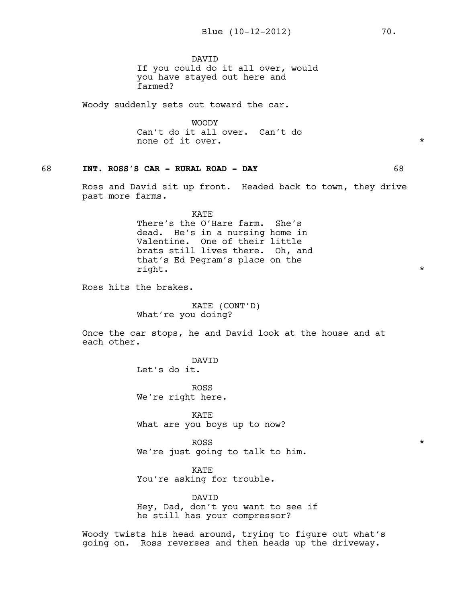DAVID If you could do it all over, would you have stayed out here and farmed?

Woody suddenly sets out toward the car.

WOODY Can't do it all over. Can't do none of it over.  $\star$ 

# 68 **INT. ROSS'S CAR - RURAL ROAD - DAY** 68

Ross and David sit up front. Headed back to town, they drive past more farms.

> KATE There's the O'Hare farm. She's dead. He's in a nursing home in Valentine. One of their little brats still lives there. Oh, and that's Ed Pegram's place on the right.  $\star$

Ross hits the brakes.

KATE (CONT'D) What're you doing?

Once the car stops, he and David look at the house and at each other.

> DAVID Let's do it.

ROSS We're right here.

KATE What are you boys up to now?

ROSS  $\star$ We're just going to talk to him.

KATE You're asking for trouble.

DAVID Hey, Dad, don't you want to see if he still has your compressor?

Woody twists his head around, trying to figure out what's going on. Ross reverses and then heads up the driveway.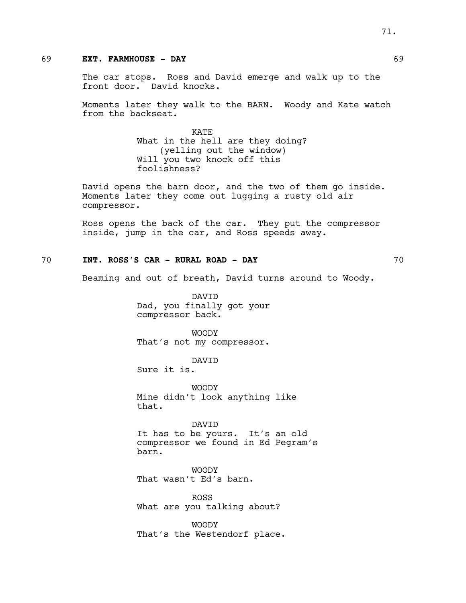# 69 **EXT. FARMHOUSE - DAY** 69

The car stops. Ross and David emerge and walk up to the front door. David knocks.

Moments later they walk to the BARN. Woody and Kate watch from the backseat.

> **KATE** What in the hell are they doing? (yelling out the window) Will you two knock off this foolishness?

David opens the barn door, and the two of them go inside. Moments later they come out lugging a rusty old air compressor.

Ross opens the back of the car. They put the compressor inside, jump in the car, and Ross speeds away.

# 70 **INT. ROSS'S CAR - RURAL ROAD - DAY** 70

Beaming and out of breath, David turns around to Woody.

DAVID Dad, you finally got your compressor back.

WOODY That's not my compressor.

DAVID

Sure it is.

WOODY Mine didn't look anything like that.

DAVID It has to be yours. It's an old compressor we found in Ed Pegram's barn.

WOODY That wasn't Ed's barn.

ROSS What are you talking about?

WOODY That's the Westendorf place.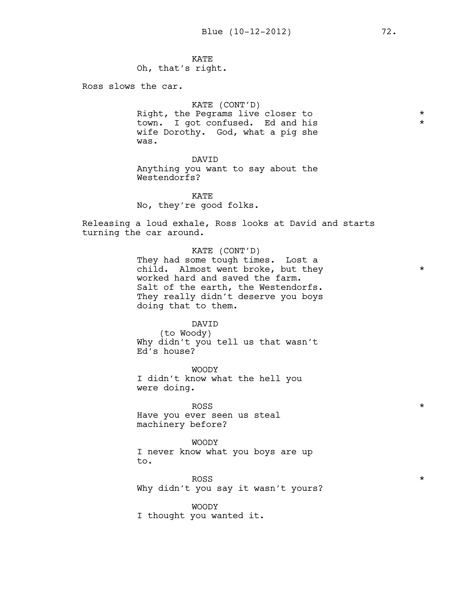KATE Oh, that's right.

Ross slows the car.

## KATE (CONT'D)

Right, the Pegrams live closer to  $*$ town. I got confused. Ed and his  $*$ wife Dorothy. God, what a pig she was.

#### DAVID

Anything you want to say about the Westendorfs?

KATE No, they're good folks.

Releasing a loud exhale, Ross looks at David and starts turning the car around.

## KATE (CONT'D)

They had some tough times. Lost a child. Almost went broke, but they  $*$ worked hard and saved the farm. Salt of the earth, the Westendorfs. They really didn't deserve you boys doing that to them.

#### DAVID

(to Woody) Why didn't you tell us that wasn't Ed's house?

WOODY I didn't know what the hell you were doing.

ROSS  $\star$ Have you ever seen us steal machinery before?

WOODY I never know what you boys are up to.

ROSS  $\star$ Why didn't you say it wasn't yours?

WOODY I thought you wanted it.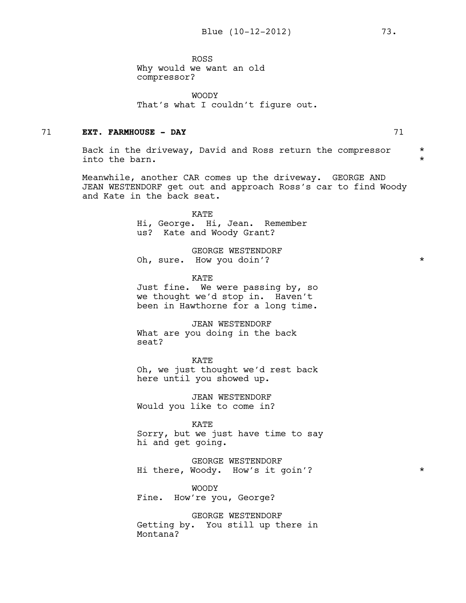ROSS Why would we want an old compressor?

WOODY That's what I couldn't figure out.

# 71 **EXT. FARMHOUSE - DAY** 71

Back in the driveway, David and Ross return the compressor \* into the barn.

Meanwhile, another CAR comes up the driveway. GEORGE AND JEAN WESTENDORF get out and approach Ross's car to find Woody and Kate in the back seat.

> KATE Hi, George. Hi, Jean. Remember us? Kate and Woody Grant?

GEORGE WESTENDORF Oh, sure. How you doin'?

**KATE** 

Just fine. We were passing by, so we thought we'd stop in. Haven't been in Hawthorne for a long time.

JEAN WESTENDORF What are you doing in the back seat?

KATE Oh, we just thought we'd rest back here until you showed up.

JEAN WESTENDORF Would you like to come in?

KATE Sorry, but we just have time to say hi and get going.

GEORGE WESTENDORF Hi there, Woody. How's it goin'? \*

WOODY Fine. How're you, George?

GEORGE WESTENDORF Getting by. You still up there in Montana?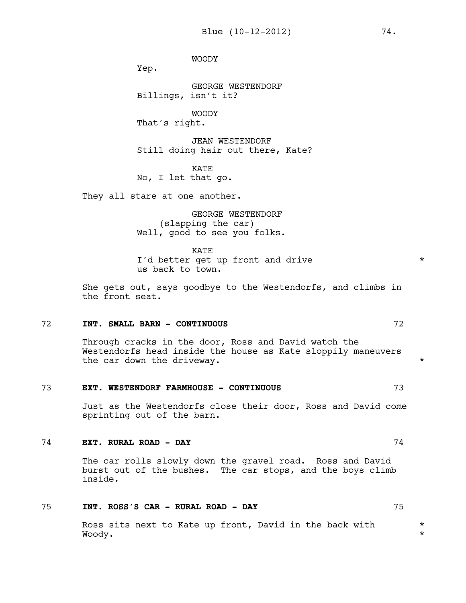WOODY

Yep.

GEORGE WESTENDORF Billings, isn't it?

WOODY That's right.

JEAN WESTENDORF Still doing hair out there, Kate?

KATE No, I let that go.

They all stare at one another.

GEORGE WESTENDORF (slapping the car) Well, good to see you folks.

KATE I'd better get up front and drive \* us back to town.

She gets out, says goodbye to the Westendorfs, and climbs in the front seat.

## 72 **INT. SMALL BARN - CONTINUOUS** 72

Through cracks in the door, Ross and David watch the Westendorfs head inside the house as Kate sloppily maneuvers the car down the driveway.

# 73 **EXT. WESTENDORF FARMHOUSE - CONTINUOUS** 73

Just as the Westendorfs close their door, Ross and David come sprinting out of the barn.

#### 74 **EXT. RURAL ROAD - DAY** 74

The car rolls slowly down the gravel road. Ross and David burst out of the bushes. The car stops, and the boys climb inside.

# 75 **INT. ROSS'S CAR - RURAL ROAD - DAY** 75

Ross sits next to Kate up front, David in the back with  $*$ Woody. \*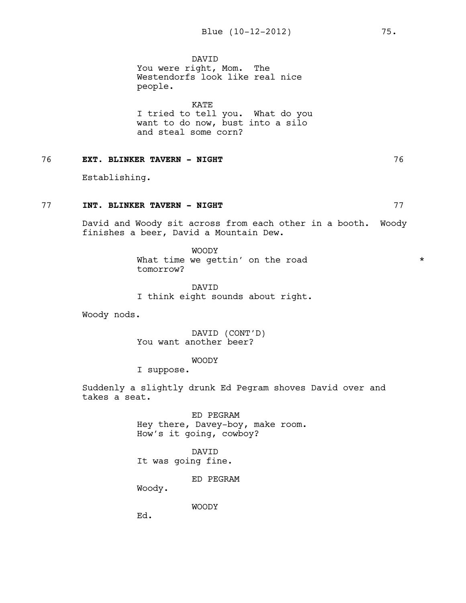DAVID You were right, Mom. The Westendorfs look like real nice people.

KATE I tried to tell you. What do you want to do now, bust into a silo and steal some corn?

# 76 **EXT. BLINKER TAVERN - NIGHT** 76

Establishing.

# 77 **INT. BLINKER TAVERN - NIGHT** 77

David and Woody sit across from each other in a booth. Woody finishes a beer, David a Mountain Dew.

> WOODY What time we gettin' on the road  $*$ tomorrow?

DAVID I think eight sounds about right.

Woody nods.

DAVID (CONT'D) You want another beer?

WOODY

I suppose.

Suddenly a slightly drunk Ed Pegram shoves David over and takes a seat.

> ED PEGRAM Hey there, Davey-boy, make room. How's it going, cowboy?

DAVID It was going fine.

ED PEGRAM

Woody.

WOODY

Ed.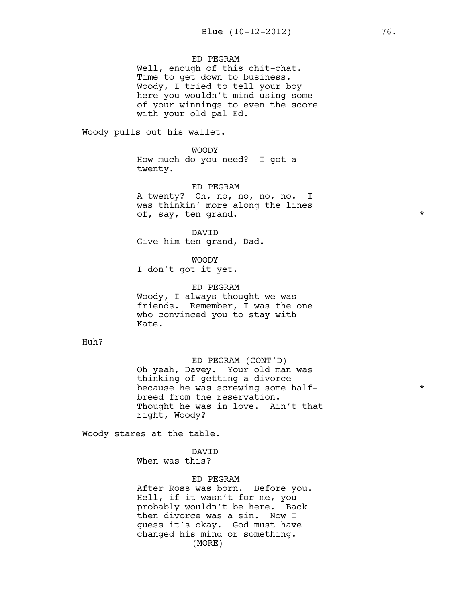# ED PEGRAM

Well, enough of this chit-chat. Time to get down to business. Woody, I tried to tell your boy here you wouldn't mind using some of your winnings to even the score with your old pal Ed.

Woody pulls out his wallet.

WOODY How much do you need? I got a twenty.

ED PEGRAM

A twenty? Oh, no, no, no, no. I was thinkin' more along the lines of, say, ten grand. \*

DAVID Give him ten grand, Dad.

WOODY I don't got it yet.

ED PEGRAM Woody, I always thought we was friends. Remember, I was the one who convinced you to stay with Kate.

Huh?

ED PEGRAM (CONT'D) Oh yeah, Davey. Your old man was thinking of getting a divorce because he was screwing some half-  $*$ breed from the reservation. Thought he was in love. Ain't that right, Woody?

Woody stares at the table.

DAVID When was this?

ED PEGRAM

After Ross was born. Before you. Hell, if it wasn't for me, you probably wouldn't be here. Back then divorce was a sin. Now I guess it's okay. God must have changed his mind or something. (MORE)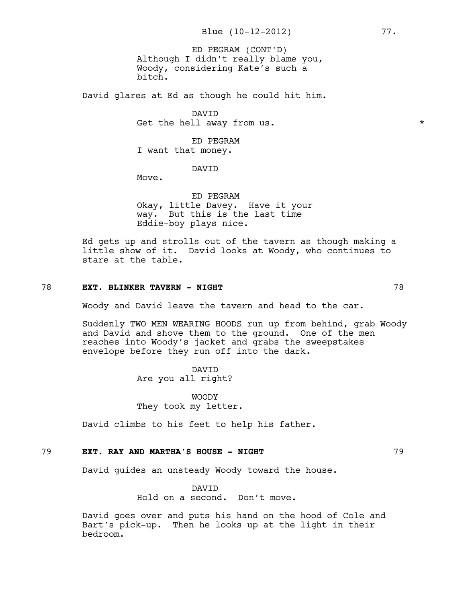Although I didn't really blame you, Woody, considering Kate's such a bitch. ED PEGRAM (CONT'D)

David glares at Ed as though he could hit him.

DAVID Get the hell away from us.  $\star$ 

ED PEGRAM I want that money.

# DAVID

Move.

ED PEGRAM Okay, little Davey. Have it your way. But this is the last time Eddie-boy plays nice.

Ed gets up and strolls out of the tavern as though making a little show of it. David looks at Woody, who continues to stare at the table.

#### 78 **EXT. BLINKER TAVERN - NIGHT** 78

Woody and David leave the tavern and head to the car.

Suddenly TWO MEN WEARING HOODS run up from behind, grab Woody and David and shove them to the ground. One of the men reaches into Woody's jacket and grabs the sweepstakes envelope before they run off into the dark.

> DAVID Are you all right?

WOODY They took my letter.

David climbs to his feet to help his father.

# 79 **EXT. RAY AND MARTHA'S HOUSE - NIGHT** 79

David guides an unsteady Woody toward the house.

#### DAVID

Hold on a second. Don't move.

David goes over and puts his hand on the hood of Cole and Bart's pick-up. Then he looks up at the light in their bedroom.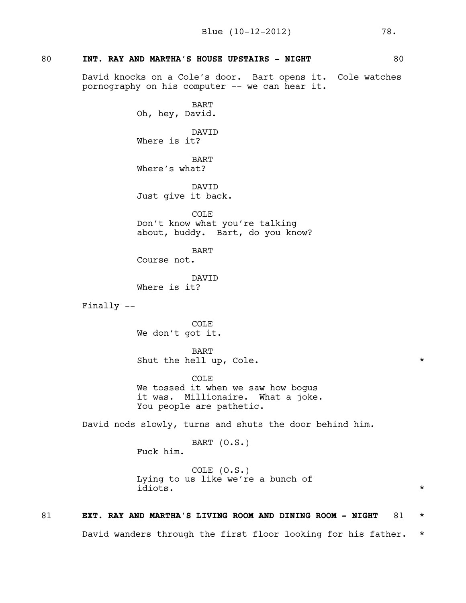# 80 **INT. RAY AND MARTHA'S HOUSE UPSTAIRS - NIGHT** 80

David knocks on a Cole's door. Bart opens it. Cole watches pornography on his computer -- we can hear it.

> BART Oh, hey, David.

> DAVID Where is it?

BART Where's what?

DAVID Just give it back.

COLE Don't know what you're talking about, buddy. Bart, do you know?

BART Course not.

DAVID Where is it?

Finally --

COLE We don't got it.

Fuck him.

BART Shut the hell up, Cole.  $*$ 

COLE We tossed it when we saw how bogus it was. Millionaire. What a joke. You people are pathetic.

David nods slowly, turns and shuts the door behind him.

BART (O.S.)

COLE (O.S.) Lying to us like we're a bunch of idiots. \*

# 81 **EXT. RAY AND MARTHA'S LIVING ROOM AND DINING ROOM - NIGHT** 81 \*

David wanders through the first floor looking for his father. \*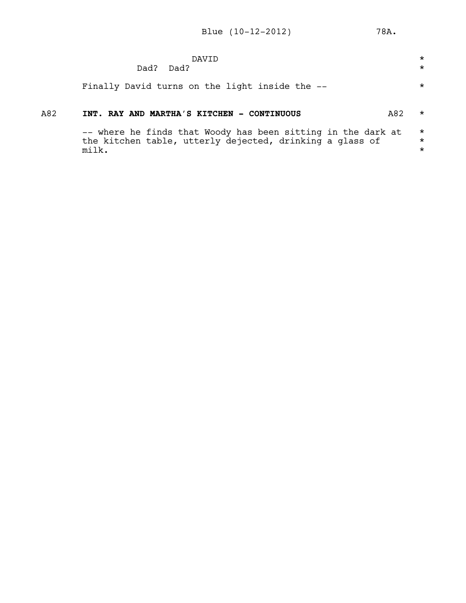|     | DAVTD<br>Dad?<br>Dad?                                                                                                                     | $\star$<br>$\star$             |
|-----|-------------------------------------------------------------------------------------------------------------------------------------------|--------------------------------|
|     | Finally David turns on the light inside the --                                                                                            | $\star$                        |
| A82 | INT. RAY AND MARTHA'S KITCHEN - CONTINUOUS<br>A82                                                                                         | *                              |
|     | -- where he finds that Woody has been sitting in the dark at<br>the kitchen table, utterly dejected, drinking a glass of<br>$mi$ 1 $ki$ . | $\star$<br>$\star$<br>$^\star$ |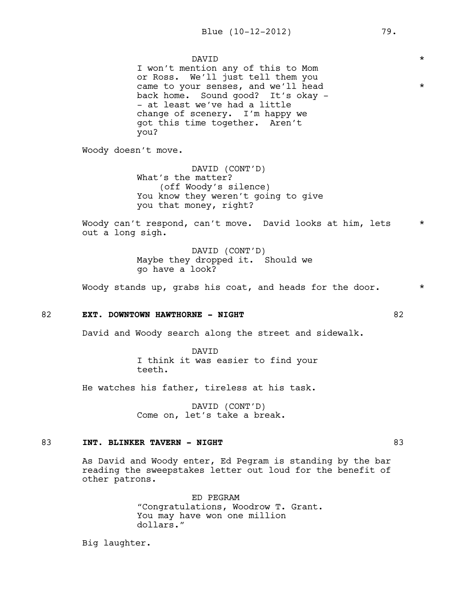DAVID  $\qquad \qquad \star$ I won't mention any of this to Mom or Ross. We'll just tell them you came to your senses, and we'll head  $*$ back home. Sound good? It's okay - - at least we've had a little change of scenery. I'm happy we got this time together. Aren't you?

Woody doesn't move.

DAVID (CONT'D) What's the matter? (off Woody's silence) You know they weren't going to give you that money, right?

Woody can't respond, can't move. David looks at him, lets \* out a long sigh.

> DAVID (CONT'D) Maybe they dropped it. Should we go have a look?

Woody stands up, grabs his coat, and heads for the door.  $*$ 

## 82 **EXT. DOWNTOWN HAWTHORNE - NIGHT** 82

David and Woody search along the street and sidewalk.

DAVID I think it was easier to find your teeth.

He watches his father, tireless at his task.

DAVID (CONT'D) Come on, let's take a break.

#### 83 **INT. BLINKER TAVERN - NIGHT** 83

As David and Woody enter, Ed Pegram is standing by the bar reading the sweepstakes letter out loud for the benefit of other patrons.

> ED PEGRAM "Congratulations, Woodrow T. Grant. You may have won one million dollars."

Big laughter.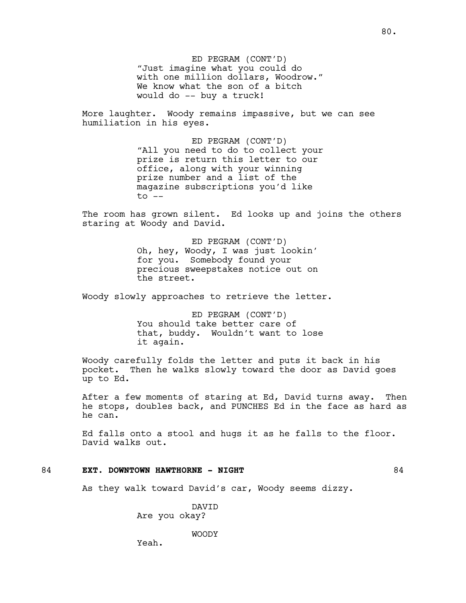ED PEGRAM (CONT'D) "Just imagine what you could do with one million dollars, Woodrow." We know what the son of a bitch would do -- buy a truck!

More laughter. Woody remains impassive, but we can see humiliation in his eyes.

> ED PEGRAM (CONT'D) "All you need to do to collect your prize is return this letter to our office, along with your winning prize number and a list of the magazine subscriptions you'd like  $to$   $--$

The room has grown silent. Ed looks up and joins the others staring at Woody and David.

> ED PEGRAM (CONT'D) Oh, hey, Woody, I was just lookin' for you. Somebody found your precious sweepstakes notice out on the street.

Woody slowly approaches to retrieve the letter.

ED PEGRAM (CONT'D) You should take better care of that, buddy. Wouldn't want to lose it again.

Woody carefully folds the letter and puts it back in his pocket. Then he walks slowly toward the door as David goes up to Ed.

After a few moments of staring at Ed, David turns away. Then he stops, doubles back, and PUNCHES Ed in the face as hard as he can.

Ed falls onto a stool and hugs it as he falls to the floor. David walks out.

# 84 **EXT. DOWNTOWN HAWTHORNE - NIGHT** 84

As they walk toward David's car, Woody seems dizzy.

DAVID Are you okay?

WOODY

Yeah.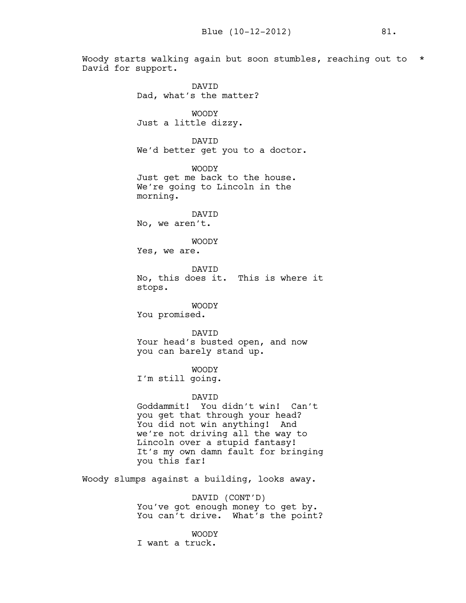Woody starts walking again but soon stumbles, reaching out to \* David for support.

DAVID Dad, what's the matter? WOODY Just a little dizzy. DAVID We'd better get you to a doctor. WOODY Just get me back to the house. We're going to Lincoln in the morning. DAVID No, we aren't. WOODY Yes, we are. DAVID No, this does it. This is where it stops. WOODY You promised. DAVID Your head's busted open, and now you can barely stand up. WOODY I'm still going. DAVID Goddammit! You didn't win! Can't you get that through your head? You did not win anything! And we're not driving all the way to Lincoln over a stupid fantasy! It's my own damn fault for bringing you this far! Woody slumps against a building, looks away. DAVID (CONT'D)

You've got enough money to get by. You can't drive. What's the point?

WOODY

I want a truck.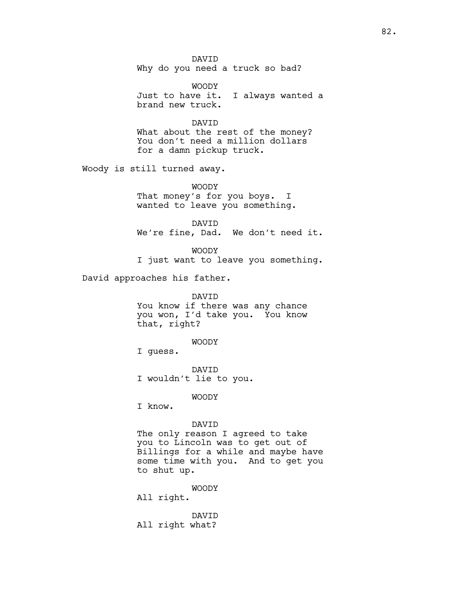DAVID Why do you need a truck so bad?

WOODY Just to have it. I always wanted a brand new truck.

DAVID What about the rest of the money? You don't need a million dollars for a damn pickup truck.

Woody is still turned away.

WOODY That money's for you boys. I wanted to leave you something.

DAVID We're fine, Dad. We don't need it.

WOODY I just want to leave you something.

David approaches his father.

DAVID You know if there was any chance you won, I'd take you. You know that, right?

WOODY

I guess.

DAVID I wouldn't lie to you.

WOODY

I know.

DAVID

The only reason I agreed to take you to Lincoln was to get out of Billings for a while and maybe have some time with you. And to get you to shut up.

WOODY

All right.

DAVID All right what?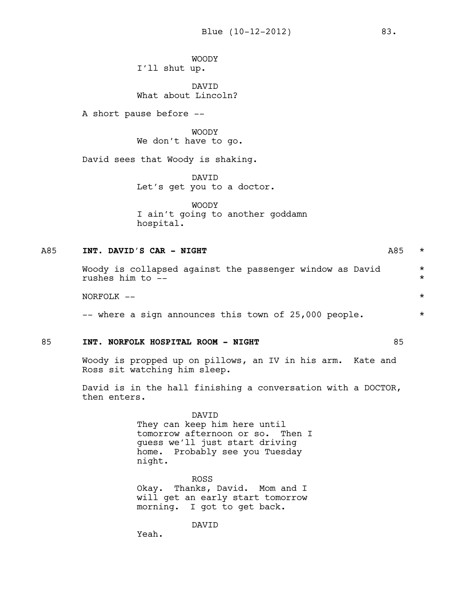WOODY I'll shut up.

DAVID What about Lincoln?

A short pause before --

WOODY We don't have to go.

David sees that Woody is shaking.

DAVID Let's get you to a doctor.

WOODY I ain't going to another goddamn hospital.

# A85 **INT. DAVID'S CAR - NIGHT** A85 \*

Woody is collapsed against the passenger window as David  $*$ rushes him to --  $\star$ 

 $NORFOLK$   $--$ 

-- where a sign announces this town of 25,000 people.  $*$ 

## 85 **INT. NORFOLK HOSPITAL ROOM - NIGHT** 85

Woody is propped up on pillows, an IV in his arm. Kate and Ross sit watching him sleep.

David is in the hall finishing a conversation with a DOCTOR, then enters.

> DAVID They can keep him here until tomorrow afternoon or so. Then I guess we'll just start driving home. Probably see you Tuesday night.

ROSS Okay. Thanks, David. Mom and I will get an early start tomorrow morning. I got to get back.

DAVID

Yeah.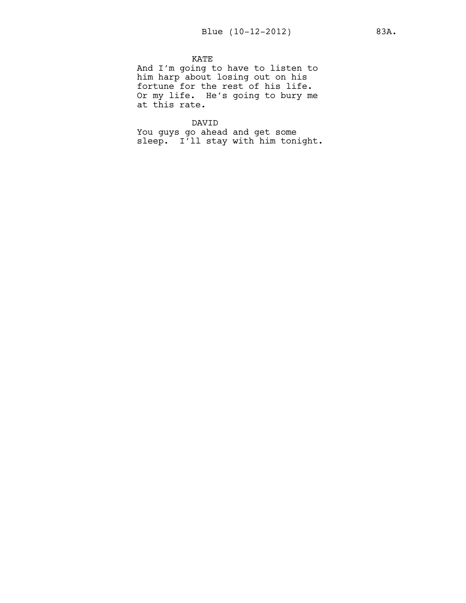# KATE

And I'm going to have to listen to him harp about losing out on his fortune for the rest of his life. Or my life. He's going to bury me at this rate.

## DAVID

You guys go ahead and get some sleep. I'll stay with him tonight.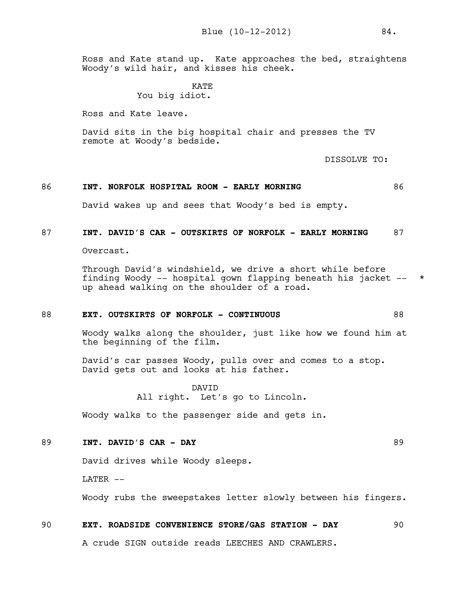Ross and Kate stand up. Kate approaches the bed, straightens Woody's wild hair, and kisses his cheek.

> **KATE** You big idiot.

Ross and Kate leave.

David sits in the big hospital chair and presses the TV remote at Woody's bedside.

DISSOLVE TO:

# 86 **INT. NORFOLK HOSPITAL ROOM - EARLY MORNING** 86

David wakes up and sees that Woody's bed is empty.

# 87 **INT. DAVID'S CAR - OUTSKIRTS OF NORFOLK - EARLY MORNING** 87

Overcast.

Through David's windshield, we drive a short while before finding Woody -- hospital gown flapping beneath his jacket -- \* up ahead walking on the shoulder of a road.

## 88 **EXT. OUTSKIRTS OF NORFOLK - CONTINUOUS** 88

Woody walks along the shoulder, just like how we found him at the beginning of the film.

David's car passes Woody, pulls over and comes to a stop. David gets out and looks at his father.

> DAVID All right. Let's go to Lincoln.

Woody walks to the passenger side and gets in.

#### 89 **INT. DAVID'S CAR - DAY** 89

David drives while Woody sleeps.

 $LATER$   $-$ 

Woody rubs the sweepstakes letter slowly between his fingers.

#### 90 **EXT. ROADSIDE CONVENIENCE STORE/GAS STATION - DAY** 90

A crude SIGN outside reads LEECHES AND CRAWLERS.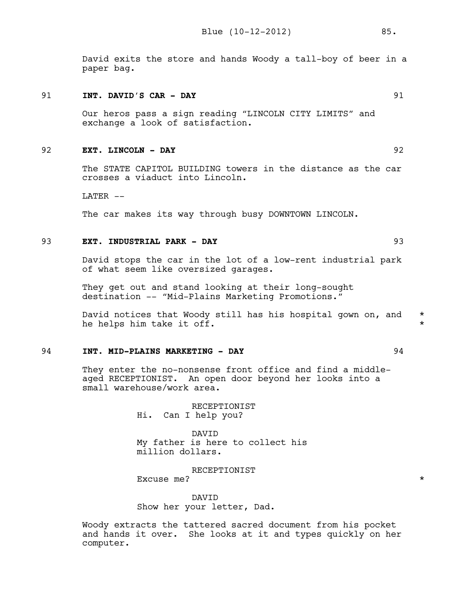David exits the store and hands Woody a tall-boy of beer in a paper bag.

#### 91 **INT. DAVID'S CAR - DAY** 91

Our heros pass a sign reading "LINCOLN CITY LIMITS" and exchange a look of satisfaction.

# 92 **EXT. LINCOLN - DAY** 92

The STATE CAPITOL BUILDING towers in the distance as the car crosses a viaduct into Lincoln.

LATER --

The car makes its way through busy DOWNTOWN LINCOLN.

## 93 **EXT. INDUSTRIAL PARK - DAY** 93

David stops the car in the lot of a low-rent industrial park of what seem like oversized garages.

They get out and stand looking at their long-sought destination -- "Mid-Plains Marketing Promotions."

David notices that Woody still has his hospital gown on, and  $*$ he helps him take it off.  $\star$ 

# 94 **INT. MID-PLAINS MARKETING - DAY** 94

They enter the no-nonsense front office and find a middleaged RECEPTIONIST. An open door beyond her looks into a small warehouse/work area.

> RECEPTIONIST Hi. Can I help you?

DAVID My father is here to collect his million dollars.

RECEPTIONIST Excuse me?  $\star$ 

DAVID Show her your letter, Dad.

Woody extracts the tattered sacred document from his pocket and hands it over. She looks at it and types quickly on her computer.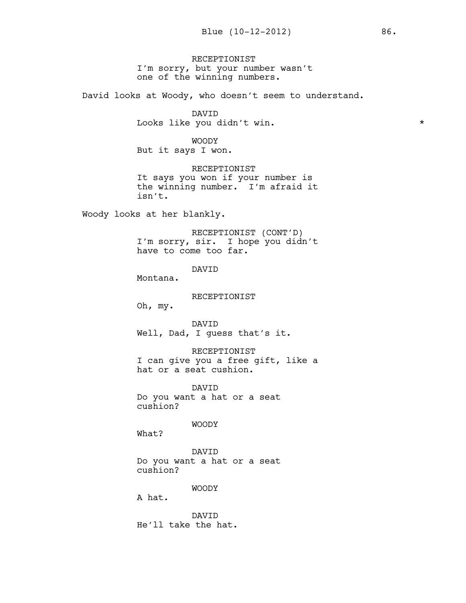RECEPTIONIST I'm sorry, but your number wasn't one of the winning numbers.

David looks at Woody, who doesn't seem to understand.

DAVID Looks like you didn't win.  $\star$ 

WOODY But it says I won.

RECEPTIONIST It says you won if your number is the winning number. I'm afraid it isn't.

Woody looks at her blankly.

RECEPTIONIST (CONT'D) I'm sorry, sir. I hope you didn't have to come too far.

DAVID

Montana.

RECEPTIONIST

Oh, my.

DAVID Well, Dad, I guess that's it.

RECEPTIONIST I can give you a free gift, like a hat or a seat cushion.

DAVID Do you want a hat or a seat cushion?

WOODY

What?

DAVID Do you want a hat or a seat cushion?

WOODY

A hat.

DAVID He'll take the hat.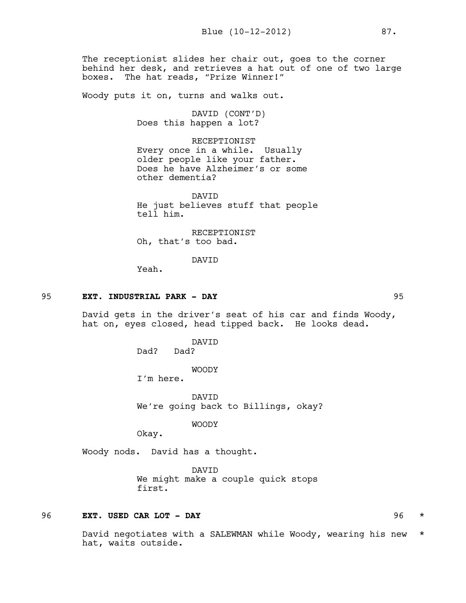The receptionist slides her chair out, goes to the corner behind her desk, and retrieves a hat out of one of two large boxes. The hat reads, "Prize Winner!"

Woody puts it on, turns and walks out.

DAVID (CONT'D) Does this happen a lot?

RECEPTIONIST Every once in a while. Usually older people like your father. Does he have Alzheimer's or some other dementia?

DAVID He just believes stuff that people tell him.

RECEPTIONIST Oh, that's too bad.

DAVID

Yeah.

#### 95 **EXT. INDUSTRIAL PARK - DAY** 95

David gets in the driver's seat of his car and finds Woody, hat on, eyes closed, head tipped back. He looks dead.

> DAVID Dad? Dad?

> > WOODY

I'm here.

DAVID We're going back to Billings, okay?

WOODY

Okay.

Woody nods. David has a thought.

DAVID We might make a couple quick stops first.

# 96 **EXT. USED CAR LOT - DAY** 96 \*

David negotiates with a SALEWMAN while Woody, wearing his new \* hat, waits outside.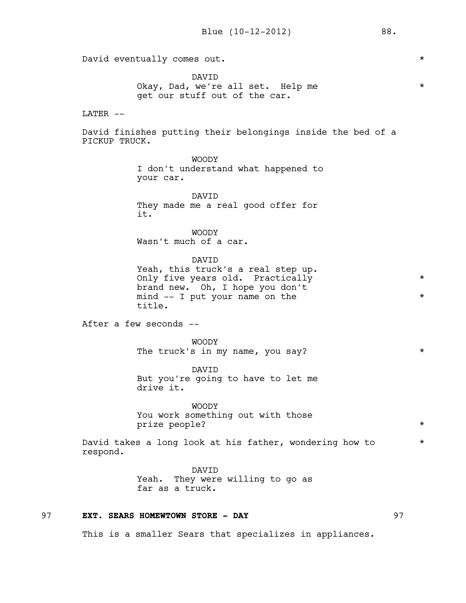David eventually comes out.

DAVID Okay, Dad, we're all set. Help me  $*$ get our stuff out of the car.

#### LATER --

David finishes putting their belongings inside the bed of a PICKUP TRUCK.

> WOODY I don't understand what happened to your car.

DAVID They made me a real good offer for it.

WOODY Wasn't much of a car.

DAVID

Yeah, this truck's a real step up. Only five years old. Practically \* brand new. Oh, I hope you don't mind -- I put your name on the  $*$ title.

After a few seconds --

WOODY The truck's in my name, you say? \*

DAVID But you're going to have to let me drive it.

WOODY You work something out with those prize people? \*

David takes a long look at his father, wondering how to  $*$ respond.

> DAVID Yeah. They were willing to go as far as a truck.

# 97 **EXT. SEARS HOMEWTOWN STORE - DAY** 97

This is a smaller Sears that specializes in appliances.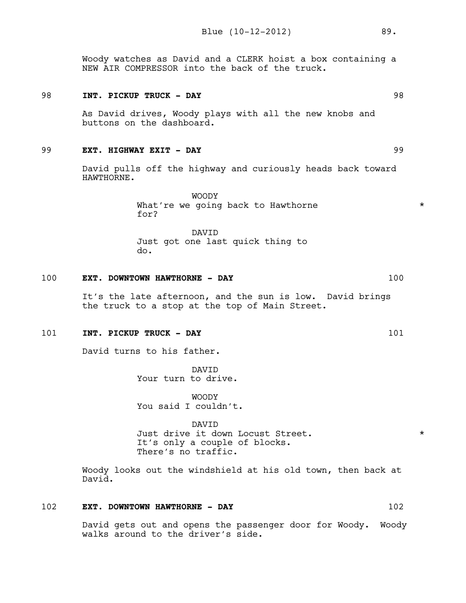Woody watches as David and a CLERK hoist a box containing a NEW AIR COMPRESSOR into the back of the truck.

## 98 **INT. PICKUP TRUCK - DAY** 98

As David drives, Woody plays with all the new knobs and buttons on the dashboard.

#### 99 **EXT. HIGHWAY EXIT - DAY** 99

David pulls off the highway and curiously heads back toward HAWTHORNE.

> WOODY What're we going back to Hawthorne  $*$ for?

DAVID Just got one last quick thing to do.

## 100 **EXT. DOWNTOWN HAWTHORNE - DAY** 100

It's the late afternoon, and the sun is low. David brings the truck to a stop at the top of Main Street.

# 101 **INT. PICKUP TRUCK - DAY** 101

David turns to his father.

DAVID Your turn to drive.

WOODY You said I couldn't.

DAVID Just drive it down Locust Street. \* It's only a couple of blocks. There's no traffic.

Woody looks out the windshield at his old town, then back at David.

# 102 **EXT. DOWNTOWN HAWTHORNE - DAY** 102

David gets out and opens the passenger door for Woody. Woody walks around to the driver's side.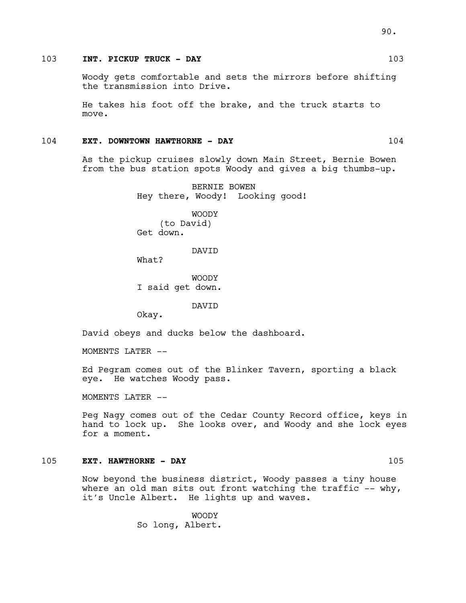# 103 **INT. PICKUP TRUCK - DAY** 103

Woody gets comfortable and sets the mirrors before shifting the transmission into Drive.

He takes his foot off the brake, and the truck starts to move.

#### 104 **EXT. DOWNTOWN HAWTHORNE - DAY** 104

As the pickup cruises slowly down Main Street, Bernie Bowen from the bus station spots Woody and gives a big thumbs-up.

> BERNIE BOWEN Hey there, Woody! Looking good!

WOODY (to David) Get down.

DAVID

What?

WOODY I said get down.

DAVID

Okay.

David obeys and ducks below the dashboard.

MOMENTS LATER --

Ed Pegram comes out of the Blinker Tavern, sporting a black eye. He watches Woody pass.

MOMENTS LATER --

Peg Nagy comes out of the Cedar County Record office, keys in hand to lock up. She looks over, and Woody and she lock eyes for a moment.

# 105 **EXT. HAWTHORNE - DAY** 105

Now beyond the business district, Woody passes a tiny house where an old man sits out front watching the traffic  $-$ - why, it's Uncle Albert. He lights up and waves.

> WOODY So long, Albert.